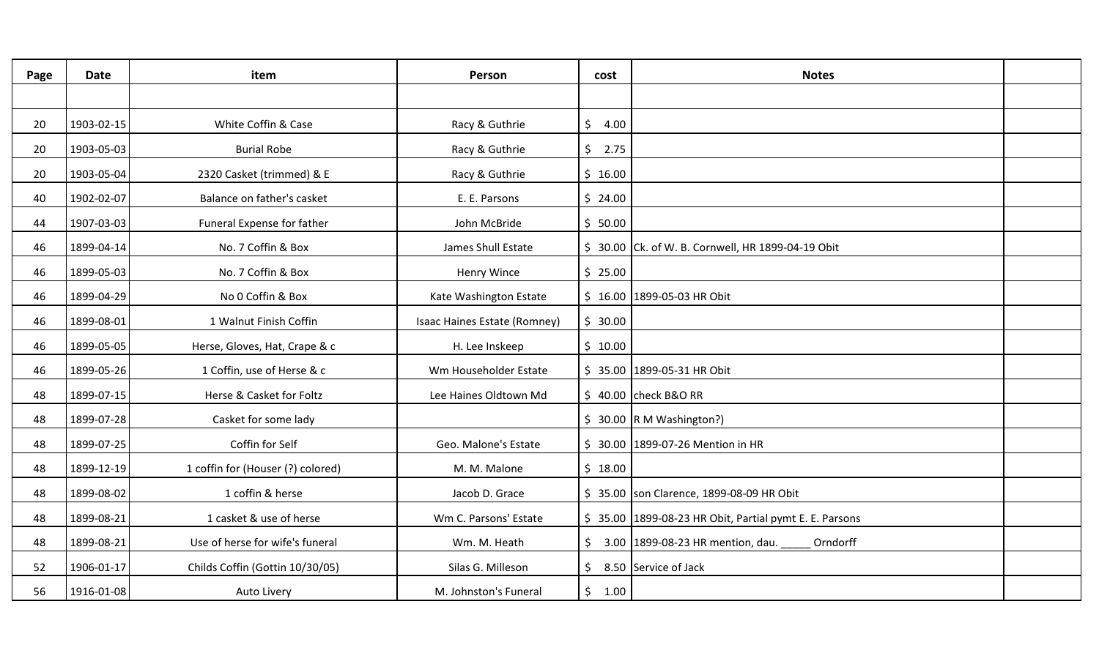| Page | <b>Date</b> | item                              | Person                       | cost    | <b>Notes</b>                                               |  |
|------|-------------|-----------------------------------|------------------------------|---------|------------------------------------------------------------|--|
|      |             |                                   |                              |         |                                                            |  |
| 20   | 1903-02-15  | White Coffin & Case               | Racy & Guthrie               | \$4.00  |                                                            |  |
| 20   | 1903-05-03  | <b>Burial Robe</b>                | Racy & Guthrie               | \$2.75  |                                                            |  |
| 20   | 1903-05-04  | 2320 Casket (trimmed) & E         | Racy & Guthrie               | \$16.00 |                                                            |  |
| 40   | 1902-02-07  | Balance on father's casket        | E. E. Parsons                | \$24.00 |                                                            |  |
| 44   | 1907-03-03  | Funeral Expense for father        | John McBride                 | \$50.00 |                                                            |  |
| 46   | 1899-04-14  | No. 7 Coffin & Box                | James Shull Estate           |         | \$ 30.00 Ck. of W. B. Cornwell, HR 1899-04-19 Obit         |  |
| 46   | 1899-05-03  | No. 7 Coffin & Box                | Henry Wince                  | \$25.00 |                                                            |  |
| 46   | 1899-04-29  | No 0 Coffin & Box                 | Kate Washington Estate       |         | $$16.00$ 1899-05-03 HR Obit                                |  |
| 46   | 1899-08-01  | 1 Walnut Finish Coffin            | Isaac Haines Estate (Romney) | \$30.00 |                                                            |  |
| 46   | 1899-05-05  | Herse, Gloves, Hat, Crape & c     | H. Lee Inskeep               | \$10.00 |                                                            |  |
| 46   | 1899-05-26  | 1 Coffin, use of Herse & c        | Wm Householder Estate        |         | \$35.00 1899-05-31 HR Obit                                 |  |
| 48   | 1899-07-15  | Herse & Casket for Foltz          | Lee Haines Oldtown Md        |         | \$40.00 check B&O RR                                       |  |
| 48   | 1899-07-28  | Casket for some lady              |                              |         | $$30.00$ R M Washington?)                                  |  |
| 48   | 1899-07-25  | Coffin for Self                   | Geo. Malone's Estate         |         | \$ 30.00 1899-07-26 Mention in HR                          |  |
| 48   | 1899-12-19  | 1 coffin for (Houser (?) colored) | M. M. Malone                 | \$18.00 |                                                            |  |
| 48   | 1899-08-02  | 1 coffin & herse                  | Jacob D. Grace               |         | \$ 35.00 son Clarence, 1899-08-09 HR Obit                  |  |
| 48   | 1899-08-21  | 1 casket & use of herse           | Wm C. Parsons' Estate        |         | \$35.00 1899-08-23 HR Obit, Partial pymt E. E. Parsons     |  |
| 48   | 1899-08-21  | Use of herse for wife's funeral   | Wm. M. Heath                 |         | $\frac{1}{2}$ 3.00 1899-08-23 HR mention, dau.<br>Orndorff |  |
| 52   | 1906-01-17  | Childs Coffin (Gottin 10/30/05)   | Silas G. Milleson            | \$.     | 8.50 Service of Jack                                       |  |
| 56   | 1916-01-08  | Auto Livery                       | M. Johnston's Funeral        | \$1.00  |                                                            |  |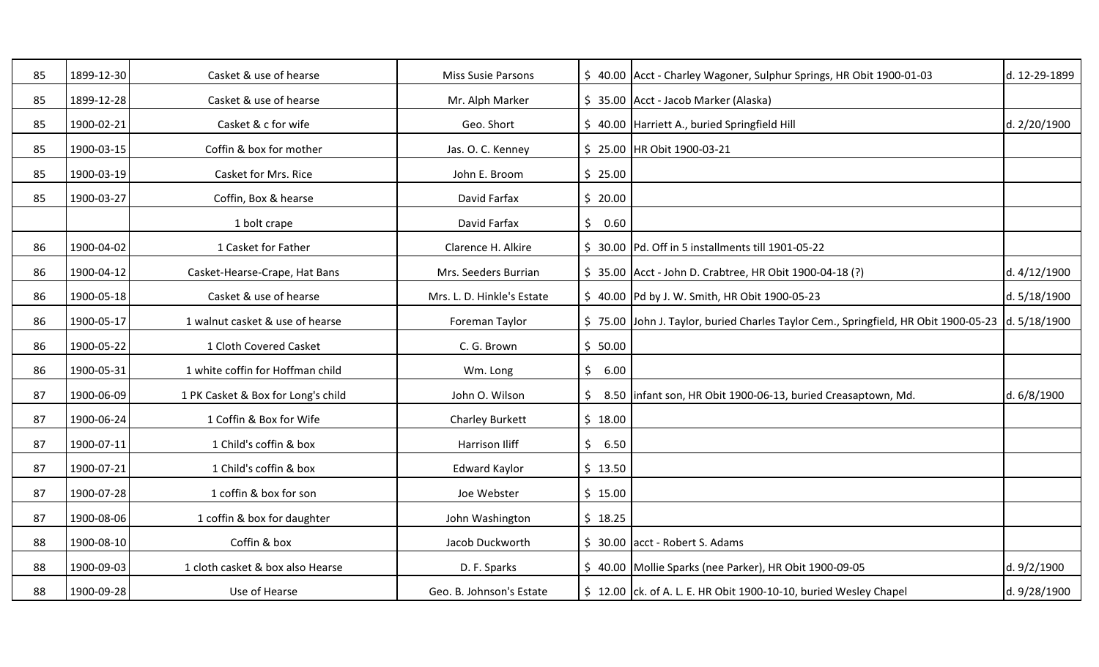| 85 | 1899-12-30 | Casket & use of hearse             | <b>Miss Susie Parsons</b>  |         | \$40.00 Acct - Charley Wagoner, Sulphur Springs, HR Obit 1900-01-03                              | d. 12-29-1899 |
|----|------------|------------------------------------|----------------------------|---------|--------------------------------------------------------------------------------------------------|---------------|
| 85 | 1899-12-28 | Casket & use of hearse             | Mr. Alph Marker            |         | \$ 35.00 Acct - Jacob Marker (Alaska)                                                            |               |
| 85 | 1900-02-21 | Casket & c for wife                | Geo. Short                 |         | \$ 40.00 Harriett A., buried Springfield Hill                                                    | d. 2/20/1900  |
| 85 | 1900-03-15 | Coffin & box for mother            | Jas. O. C. Kenney          |         | \$25.00 HR Obit 1900-03-21                                                                       |               |
| 85 | 1900-03-19 | Casket for Mrs. Rice               | John E. Broom              | \$25.00 |                                                                                                  |               |
| 85 | 1900-03-27 | Coffin, Box & hearse               | David Farfax               | \$20.00 |                                                                                                  |               |
|    |            | 1 bolt crape                       | David Farfax               | \$0.60  |                                                                                                  |               |
| 86 | 1900-04-02 | 1 Casket for Father                | Clarence H. Alkire         |         | \$ 30.00 Pd. Off in 5 installments till 1901-05-22                                               |               |
| 86 | 1900-04-12 | Casket-Hearse-Crape, Hat Bans      | Mrs. Seeders Burrian       |         | \$ 35.00 Acct - John D. Crabtree, HR Obit 1900-04-18 (?)                                         | d. 4/12/1900  |
| 86 | 1900-05-18 | Casket & use of hearse             | Mrs. L. D. Hinkle's Estate |         | \$40.00 Pd by J. W. Smith, HR Obit 1900-05-23                                                    | d. 5/18/1900  |
| 86 | 1900-05-17 | 1 walnut casket & use of hearse    | Foreman Taylor             |         | \$75.00 John J. Taylor, buried Charles Taylor Cem., Springfield, HR Obit 1900-05-23 d. 5/18/1900 |               |
| 86 | 1900-05-22 | 1 Cloth Covered Casket             | C. G. Brown                | \$50.00 |                                                                                                  |               |
| 86 | 1900-05-31 | 1 white coffin for Hoffman child   | Wm. Long                   | \$6.00  |                                                                                                  |               |
| 87 | 1900-06-09 | 1 PK Casket & Box for Long's child | John O. Wilson             | \$      | 8.50 linfant son, HR Obit 1900-06-13, buried Creasaptown, Md.                                    | d. 6/8/1900   |
| 87 | 1900-06-24 | 1 Coffin & Box for Wife            | <b>Charley Burkett</b>     | \$18.00 |                                                                                                  |               |
| 87 | 1900-07-11 | 1 Child's coffin & box             | <b>Harrison Iliff</b>      | \$6.50  |                                                                                                  |               |
| 87 | 1900-07-21 | 1 Child's coffin & box             | <b>Edward Kaylor</b>       | \$13.50 |                                                                                                  |               |
| 87 | 1900-07-28 | 1 coffin & box for son             | Joe Webster                | \$15.00 |                                                                                                  |               |
| 87 | 1900-08-06 | 1 coffin & box for daughter        | John Washington            | \$18.25 |                                                                                                  |               |
| 88 | 1900-08-10 | Coffin & box                       | Jacob Duckworth            |         | $\frac{1}{2}$ 30.00 acct - Robert S. Adams                                                       |               |
| 88 | 1900-09-03 | 1 cloth casket & box also Hearse   | D. F. Sparks               |         | \$40.00 Mollie Sparks (nee Parker), HR Obit 1900-09-05                                           | d. 9/2/1900   |
| 88 | 1900-09-28 | Use of Hearse                      | Geo. B. Johnson's Estate   |         | \$ 12.00 ck. of A. L. E. HR Obit 1900-10-10, buried Wesley Chapel                                | d. 9/28/1900  |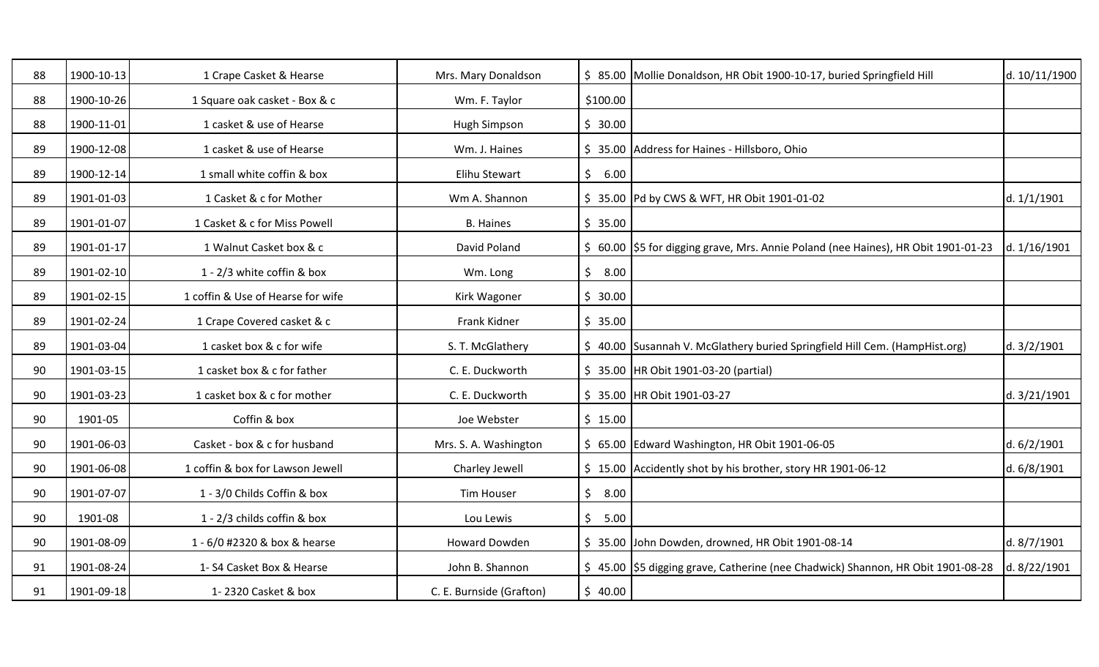| 88 | 1900-10-13 | 1 Crape Casket & Hearse           | Mrs. Mary Donaldson      |            | \$ 85.00 Mollie Donaldson, HR Obit 1900-10-17, buried Springfield Hill               | d. 10/11/1900 |
|----|------------|-----------------------------------|--------------------------|------------|--------------------------------------------------------------------------------------|---------------|
| 88 | 1900-10-26 | 1 Square oak casket - Box & c     | Wm. F. Taylor            | \$100.00   |                                                                                      |               |
| 88 | 1900-11-01 | 1 casket & use of Hearse          | Hugh Simpson             | \$30.00    |                                                                                      |               |
| 89 | 1900-12-08 | 1 casket & use of Hearse          | Wm. J. Haines            |            | \$ 35.00 Address for Haines - Hillsboro, Ohio                                        |               |
| 89 | 1900-12-14 | 1 small white coffin & box        | Elihu Stewart            | \$6.00     |                                                                                      |               |
| 89 | 1901-01-03 | 1 Casket & c for Mother           | Wm A. Shannon            |            | \$35.00 Pd by CWS & WFT, HR Obit 1901-01-02                                          | d. 1/1/1901   |
| 89 | 1901-01-07 | 1 Casket & c for Miss Powell      | <b>B.</b> Haines         | \$35.00    |                                                                                      |               |
| 89 | 1901-01-17 | 1 Walnut Casket box & c           | David Poland             |            | \$ 60.00   \$5 for digging grave, Mrs. Annie Poland (nee Haines), HR Obit 1901-01-23 | d. 1/16/1901  |
| 89 | 1901-02-10 | 1 - 2/3 white coffin & box        | Wm. Long                 | \$8.00     |                                                                                      |               |
| 89 | 1901-02-15 | 1 coffin & Use of Hearse for wife | Kirk Wagoner             | \$30.00    |                                                                                      |               |
| 89 | 1901-02-24 | 1 Crape Covered casket & c        | Frank Kidner             | \$35.00    |                                                                                      |               |
| 89 | 1901-03-04 | 1 casket box & c for wife         | S. T. McGlathery         |            | \$ 40.00 Susannah V. McGlathery buried Springfield Hill Cem. (HampHist.org)          | d. 3/2/1901   |
| 90 | 1901-03-15 | 1 casket box & c for father       | C. E. Duckworth          |            | \$ 35.00 HR Obit 1901-03-20 (partial)                                                |               |
| 90 | 1901-03-23 | 1 casket box & c for mother       | C. E. Duckworth          |            | \$ 35.00 HR Obit 1901-03-27                                                          | d. 3/21/1901  |
| 90 | 1901-05    | Coffin & box                      | Joe Webster              | \$15.00    |                                                                                      |               |
| 90 | 1901-06-03 | Casket - box & c for husband      | Mrs. S. A. Washington    |            | \$ 65.00 Edward Washington, HR Obit 1901-06-05                                       | d. 6/2/1901   |
| 90 | 1901-06-08 | 1 coffin & box for Lawson Jewell  | Charley Jewell           |            | \$15.00 Accidently shot by his brother, story HR 1901-06-12                          | d. 6/8/1901   |
| 90 | 1901-07-07 | 1 - 3/0 Childs Coffin & box       | <b>Tim Houser</b>        | \$<br>8.00 |                                                                                      |               |
| 90 | 1901-08    | 1 - 2/3 childs coffin & box       | Lou Lewis                | 5.00<br>\$ |                                                                                      |               |
| 90 | 1901-08-09 | 1 - 6/0 #2320 & box & hearse      | Howard Dowden            |            | \$ 35.00 John Dowden, drowned, HR Obit 1901-08-14                                    | d. 8/7/1901   |
| 91 | 1901-08-24 | 1-S4 Casket Box & Hearse          | John B. Shannon          |            | \$45.00 \$5 digging grave, Catherine (nee Chadwick) Shannon, HR Obit 1901-08-28      | d. 8/22/1901  |
| 91 | 1901-09-18 | 1-2320 Casket & box               | C. E. Burnside (Grafton) | \$40.00    |                                                                                      |               |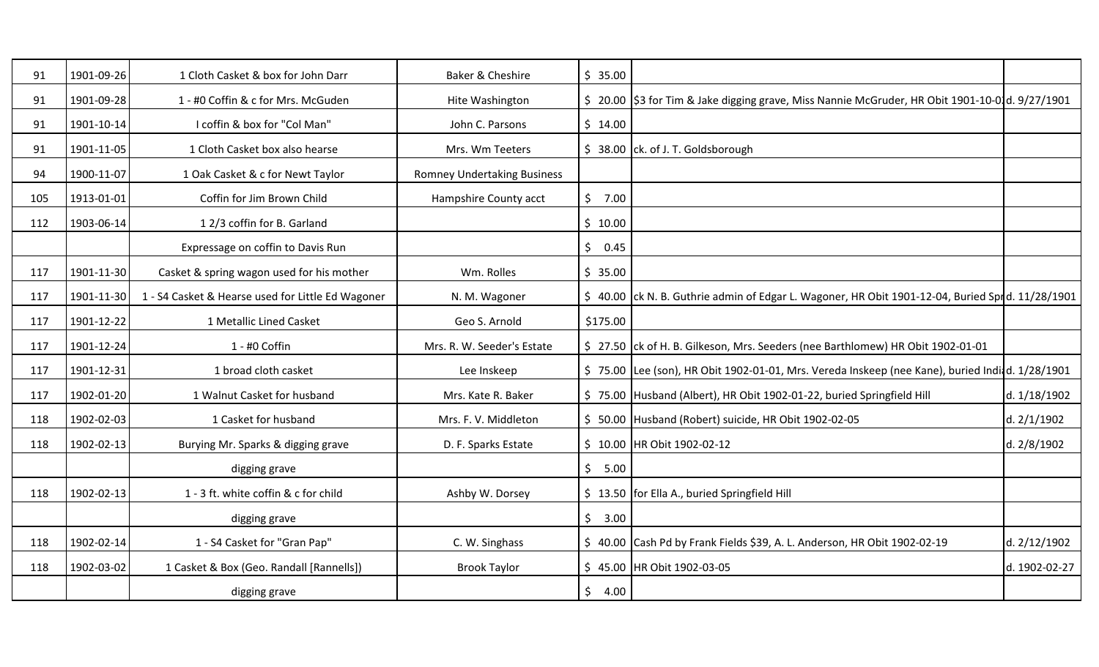| 91  | 1901-09-26 | 1 Cloth Casket & box for John Darr                | Baker & Cheshire                   | \$35.00                |                                                                                                   |               |
|-----|------------|---------------------------------------------------|------------------------------------|------------------------|---------------------------------------------------------------------------------------------------|---------------|
| 91  | 1901-09-28 | 1 - #0 Coffin & c for Mrs. McGuden                | Hite Washington                    |                        | \$ 20.00   \$3 for Tim & Jake digging grave, Miss Nannie McGruder, HR Obit 1901-10-01d. 9/27/1901 |               |
| 91  | 1901-10-14 | I coffin & box for "Col Man"                      | John C. Parsons                    | \$14.00                |                                                                                                   |               |
| 91  | 1901-11-05 | 1 Cloth Casket box also hearse                    | Mrs. Wm Teeters                    |                        | $$38.00$ ck. of J. T. Goldsborough                                                                |               |
| 94  | 1900-11-07 | 1 Oak Casket & c for Newt Taylor                  | <b>Romney Undertaking Business</b> |                        |                                                                                                   |               |
| 105 | 1913-01-01 | Coffin for Jim Brown Child                        | Hampshire County acct              | \$<br>7.00             |                                                                                                   |               |
| 112 | 1903-06-14 | 12/3 coffin for B. Garland                        |                                    | \$10.00                |                                                                                                   |               |
|     |            | Expressage on coffin to Davis Run                 |                                    | \$<br>0.45             |                                                                                                   |               |
| 117 | 1901-11-30 | Casket & spring wagon used for his mother         | Wm. Rolles                         | \$35.00                |                                                                                                   |               |
| 117 | 1901-11-30 | 1 - S4 Casket & Hearse used for Little Ed Wagoner | N. M. Wagoner                      |                        | \$40.00 ck N. B. Guthrie admin of Edgar L. Wagoner, HR Obit 1901-12-04, Buried Sprd. 11/28/1901   |               |
| 117 | 1901-12-22 | 1 Metallic Lined Casket                           | Geo S. Arnold                      | \$175.00               |                                                                                                   |               |
| 117 | 1901-12-24 | 1 - #0 Coffin                                     | Mrs. R. W. Seeder's Estate         |                        | \$ 27.50 ck of H. B. Gilkeson, Mrs. Seeders (nee Barthlomew) HR Obit 1902-01-01                   |               |
| 117 | 1901-12-31 | 1 broad cloth casket                              | Lee Inskeep                        |                        | \$75.00 Lee (son), HR Obit 1902-01-01, Mrs. Vereda Inskeep (nee Kane), buried Indidd. 1/28/1901   |               |
| 117 | 1902-01-20 | 1 Walnut Casket for husband                       | Mrs. Kate R. Baker                 |                        | \$75.00 Husband (Albert), HR Obit 1902-01-22, buried Springfield Hill                             | d. 1/18/1902  |
| 118 | 1902-02-03 | 1 Casket for husband                              | Mrs. F. V. Middleton               |                        | \$ 50.00 Husband (Robert) suicide, HR Obit 1902-02-05                                             | d. 2/1/1902   |
| 118 | 1902-02-13 | Burying Mr. Sparks & digging grave                | D. F. Sparks Estate                |                        | \$ 10.00 HR Obit 1902-02-12                                                                       | d. 2/8/1902   |
|     |            | digging grave                                     |                                    | $\zeta$<br>5.00        |                                                                                                   |               |
| 118 | 1902-02-13 | 1 - 3 ft. white coffin & c for child              | Ashby W. Dorsey                    |                        | \$ 13.50 for Ella A., buried Springfield Hill                                                     |               |
|     |            | digging grave                                     |                                    | $\mathsf{S}^-$<br>3.00 |                                                                                                   |               |
| 118 | 1902-02-14 | 1 - S4 Casket for "Gran Pap"                      | C. W. Singhass                     |                        | \$ 40.00 Cash Pd by Frank Fields \$39, A. L. Anderson, HR Obit 1902-02-19                         | d. 2/12/1902  |
| 118 | 1902-03-02 | 1 Casket & Box (Geo. Randall [Rannells])          | <b>Brook Taylor</b>                |                        | \$45.00 HR Obit 1902-03-05                                                                        | d. 1902-02-27 |
|     |            | digging grave                                     |                                    | \$<br>4.00             |                                                                                                   |               |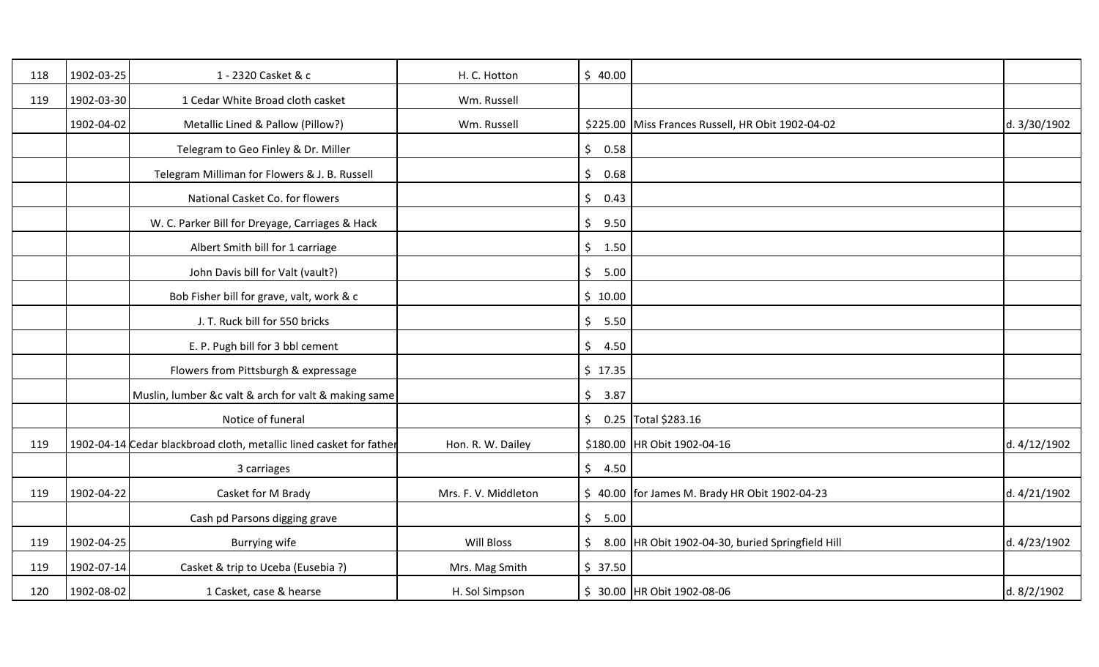| 118 | 1902-03-25 | 1 - 2320 Casket & c                                                 | H. C. Hotton         | \$40.00         |                                                   |              |
|-----|------------|---------------------------------------------------------------------|----------------------|-----------------|---------------------------------------------------|--------------|
| 119 | 1902-03-30 | 1 Cedar White Broad cloth casket                                    | Wm. Russell          |                 |                                                   |              |
|     | 1902-04-02 | Metallic Lined & Pallow (Pillow?)                                   | Wm. Russell          |                 | \$225.00 Miss Frances Russell, HR Obit 1902-04-02 | d. 3/30/1902 |
|     |            | Telegram to Geo Finley & Dr. Miller                                 |                      | $\zeta$<br>0.58 |                                                   |              |
|     |            | Telegram Milliman for Flowers & J. B. Russell                       |                      | $\zeta$<br>0.68 |                                                   |              |
|     |            | National Casket Co. for flowers                                     |                      | $\zeta$<br>0.43 |                                                   |              |
|     |            | W. C. Parker Bill for Dreyage, Carriages & Hack                     |                      | $\zeta$<br>9.50 |                                                   |              |
|     |            | Albert Smith bill for 1 carriage                                    |                      | \$1.50          |                                                   |              |
|     |            | John Davis bill for Valt (vault?)                                   |                      | $\zeta$<br>5.00 |                                                   |              |
|     |            | Bob Fisher bill for grave, valt, work & c                           |                      | \$10.00         |                                                   |              |
|     |            | J. T. Ruck bill for 550 bricks                                      |                      | $\zeta$<br>5.50 |                                                   |              |
|     |            | E. P. Pugh bill for 3 bbl cement                                    |                      | $\zeta$<br>4.50 |                                                   |              |
|     |            | Flowers from Pittsburgh & expressage                                |                      | \$17.35         |                                                   |              |
|     |            | Muslin, lumber &c valt & arch for valt & making same                |                      | $\zeta$<br>3.87 |                                                   |              |
|     |            | Notice of funeral                                                   |                      |                 | $\frac{1}{2}$ 0.25 Total \$283.16                 |              |
| 119 |            | 1902-04-14 Cedar blackbroad cloth, metallic lined casket for father | Hon. R. W. Dailey    |                 | \$180.00 HR Obit 1902-04-16                       | d. 4/12/1902 |
|     |            | 3 carriages                                                         |                      | \$4.50          |                                                   |              |
| 119 | 1902-04-22 | Casket for M Brady                                                  | Mrs. F. V. Middleton |                 | \$ 40.00 for James M. Brady HR Obit 1902-04-23    | d. 4/21/1902 |
|     |            | Cash pd Parsons digging grave                                       |                      | \$5.00          |                                                   |              |
| 119 | 1902-04-25 | Burrying wife                                                       | Will Bloss           | \$              | 8.00 HR Obit 1902-04-30, buried Springfield Hill  | d. 4/23/1902 |
| 119 | 1902-07-14 | Casket & trip to Uceba (Eusebia ?)                                  | Mrs. Mag Smith       | \$37.50         |                                                   |              |
| 120 | 1902-08-02 | 1 Casket, case & hearse                                             | H. Sol Simpson       |                 | \$ 30.00 HR Obit 1902-08-06                       | d. 8/2/1902  |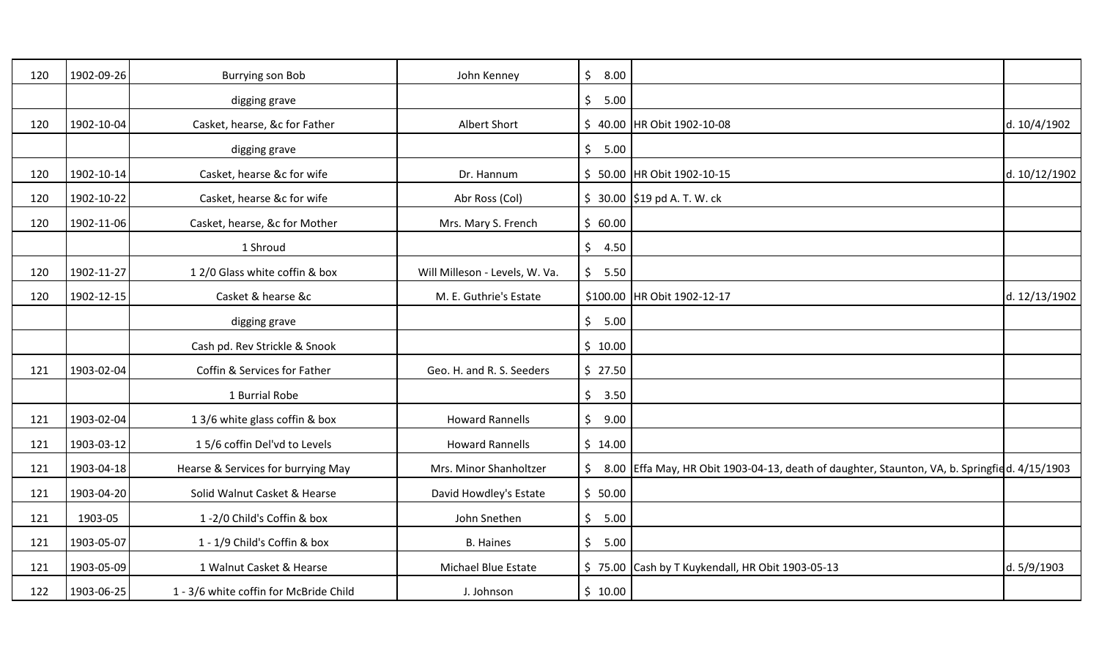| 120 | 1902-09-26 | <b>Burrying son Bob</b>                | John Kenney                    | $\zeta$<br>8.00        |                                                                                              |               |
|-----|------------|----------------------------------------|--------------------------------|------------------------|----------------------------------------------------------------------------------------------|---------------|
|     |            | digging grave                          |                                | \$<br>5.00             |                                                                                              |               |
| 120 | 1902-10-04 | Casket, hearse, &c for Father          | Albert Short                   |                        | \$40.00 HR Obit 1902-10-08                                                                   | d. 10/4/1902  |
|     |            | digging grave                          |                                | \$<br>5.00             |                                                                                              |               |
| 120 | 1902-10-14 | Casket, hearse &c for wife             | Dr. Hannum                     |                        | \$ 50.00 HR Obit 1902-10-15                                                                  | d. 10/12/1902 |
| 120 | 1902-10-22 | Casket, hearse &c for wife             | Abr Ross (Col)                 |                        | $$30.00$  \$19 pd A. T. W. ck                                                                |               |
| 120 | 1902-11-06 | Casket, hearse, &c for Mother          | Mrs. Mary S. French            | \$60.00                |                                                                                              |               |
|     |            | 1 Shroud                               |                                | 4.50<br>\$             |                                                                                              |               |
| 120 | 1902-11-27 | 12/0 Glass white coffin & box          | Will Milleson - Levels, W. Va. | \$<br>5.50             |                                                                                              |               |
| 120 | 1902-12-15 | Casket & hearse &c                     | M. E. Guthrie's Estate         |                        | \$100.00 HR Obit 1902-12-17                                                                  | d. 12/13/1902 |
|     |            | digging grave                          |                                | $\mathsf{S}^-$<br>5.00 |                                                                                              |               |
|     |            | Cash pd. Rev Strickle & Snook          |                                | \$10.00                |                                                                                              |               |
| 121 | 1903-02-04 | Coffin & Services for Father           | Geo. H. and R. S. Seeders      | \$27.50                |                                                                                              |               |
|     |            | 1 Burrial Robe                         |                                | $\frac{1}{2}$<br>3.50  |                                                                                              |               |
| 121 | 1903-02-04 | 13/6 white glass coffin & box          | <b>Howard Rannells</b>         | \$<br>9.00             |                                                                                              |               |
| 121 | 1903-03-12 | 15/6 coffin Del'vd to Levels           | <b>Howard Rannells</b>         | \$14.00                |                                                                                              |               |
| 121 | 1903-04-18 | Hearse & Services for burrying May     | Mrs. Minor Shanholtzer         | \$                     | 8.00 Effa May, HR Obit 1903-04-13, death of daughter, Staunton, VA, b. Springfied. 4/15/1903 |               |
| 121 | 1903-04-20 | Solid Walnut Casket & Hearse           | David Howdley's Estate         | \$50.00                |                                                                                              |               |
| 121 | 1903-05    | 1-2/0 Child's Coffin & box             | John Snethen                   | \$<br>5.00             |                                                                                              |               |
| 121 | 1903-05-07 | 1 - 1/9 Child's Coffin & box           | <b>B.</b> Haines               | \$<br>5.00             |                                                                                              |               |
| 121 | 1903-05-09 | 1 Walnut Casket & Hearse               | Michael Blue Estate            |                        | \$75.00 Cash by T Kuykendall, HR Obit 1903-05-13                                             | d. 5/9/1903   |
| 122 | 1903-06-25 | 1 - 3/6 white coffin for McBride Child | J. Johnson                     | \$10.00                |                                                                                              |               |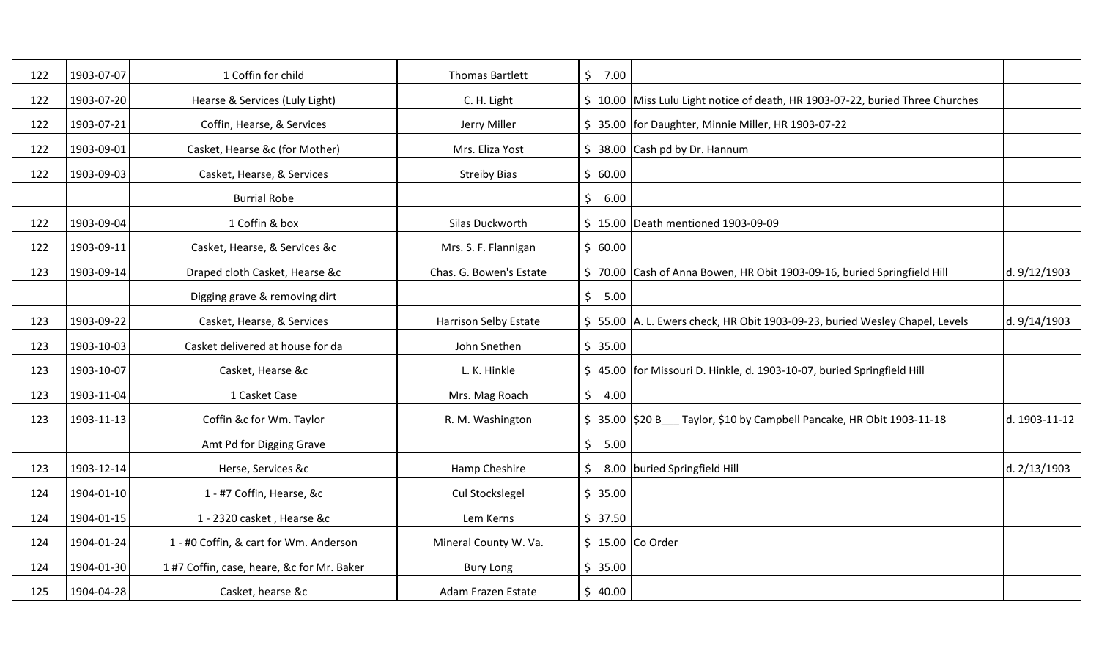| 122 | 1903-07-07 | 1 Coffin for child                         | <b>Thomas Bartlett</b>  | $\mathsf{S}^-$<br>7.00 |                                                                                |               |
|-----|------------|--------------------------------------------|-------------------------|------------------------|--------------------------------------------------------------------------------|---------------|
| 122 | 1903-07-20 | Hearse & Services (Luly Light)             | C. H. Light             |                        | \$ 10.00 Miss Lulu Light notice of death, HR 1903-07-22, buried Three Churches |               |
| 122 | 1903-07-21 | Coffin, Hearse, & Services                 | Jerry Miller            |                        | \$35.00 for Daughter, Minnie Miller, HR 1903-07-22                             |               |
| 122 | 1903-09-01 | Casket, Hearse &c (for Mother)             | Mrs. Eliza Yost         |                        | $$38.00$ Cash pd by Dr. Hannum                                                 |               |
| 122 | 1903-09-03 | Casket, Hearse, & Services                 | <b>Streiby Bias</b>     | \$60.00                |                                                                                |               |
|     |            | <b>Burrial Robe</b>                        |                         | \$6.00                 |                                                                                |               |
| 122 | 1903-09-04 | 1 Coffin & box                             | Silas Duckworth         |                        | \$15.00 Death mentioned 1903-09-09                                             |               |
| 122 | 1903-09-11 | Casket, Hearse, & Services &c              | Mrs. S. F. Flannigan    | \$60.00                |                                                                                |               |
| 123 | 1903-09-14 | Draped cloth Casket, Hearse &c             | Chas. G. Bowen's Estate |                        | \$70.00 Cash of Anna Bowen, HR Obit 1903-09-16, buried Springfield Hill        | d. 9/12/1903  |
|     |            | Digging grave & removing dirt              |                         | \$5.00                 |                                                                                |               |
| 123 | 1903-09-22 | Casket, Hearse, & Services                 | Harrison Selby Estate   |                        | \$55.00 A. L. Ewers check, HR Obit 1903-09-23, buried Wesley Chapel, Levels    | d. 9/14/1903  |
| 123 | 1903-10-03 | Casket delivered at house for da           | John Snethen            | \$35.00                |                                                                                |               |
| 123 | 1903-10-07 | Casket, Hearse &c                          | L. K. Hinkle            |                        | \$45.00   for Missouri D. Hinkle, d. 1903-10-07, buried Springfield Hill       |               |
| 123 | 1903-11-04 | 1 Casket Case                              | Mrs. Mag Roach          | \$<br>4.00             |                                                                                |               |
| 123 | 1903-11-13 | Coffin &c for Wm. Taylor                   | R. M. Washington        | $$35.00$ \$20 B        | Taylor, \$10 by Campbell Pancake, HR Obit 1903-11-18                           | d. 1903-11-12 |
|     |            | Amt Pd for Digging Grave                   |                         | \$5.00                 |                                                                                |               |
| 123 | 1903-12-14 | Herse, Services &c                         | Hamp Cheshire           | \$.                    | 8.00 buried Springfield Hill                                                   | d. 2/13/1903  |
| 124 | 1904-01-10 | 1 - #7 Coffin, Hearse, &c                  | Cul Stockslegel         | \$35.00                |                                                                                |               |
| 124 | 1904-01-15 | 1 - 2320 casket, Hearse &c                 | Lem Kerns               | \$37.50                |                                                                                |               |
| 124 | 1904-01-24 | 1 - #0 Coffin, & cart for Wm. Anderson     | Mineral County W. Va.   |                        | $$15.00$ Co Order                                                              |               |
| 124 | 1904-01-30 | 1 #7 Coffin, case, heare, &c for Mr. Baker | <b>Bury Long</b>        | \$35.00                |                                                                                |               |
| 125 | 1904-04-28 | Casket, hearse &c                          | Adam Frazen Estate      | \$40.00                |                                                                                |               |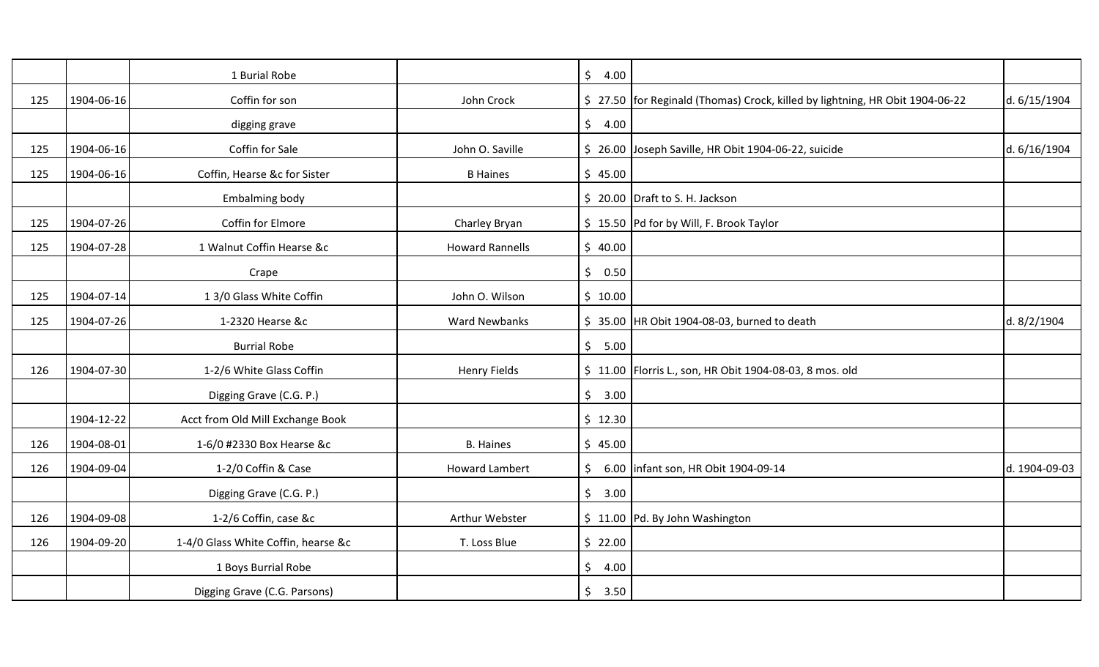|     |            | 1 Burial Robe                       |                        | $\zeta$<br>4.00 |                                                                                 |               |
|-----|------------|-------------------------------------|------------------------|-----------------|---------------------------------------------------------------------------------|---------------|
| 125 | 1904-06-16 | Coffin for son                      | John Crock             |                 | \$ 27.50   for Reginald (Thomas) Crock, killed by lightning, HR Obit 1904-06-22 | d. 6/15/1904  |
|     |            | digging grave                       |                        | $\zeta$<br>4.00 |                                                                                 |               |
| 125 | 1904-06-16 | Coffin for Sale                     | John O. Saville        |                 | \$ 26.00 Joseph Saville, HR Obit 1904-06-22, suicide                            | d. 6/16/1904  |
| 125 | 1904-06-16 | Coffin, Hearse &c for Sister        | <b>B</b> Haines        | \$45.00         |                                                                                 |               |
|     |            | Embalming body                      |                        |                 | \$20.00 Draft to S. H. Jackson                                                  |               |
| 125 | 1904-07-26 | Coffin for Elmore                   | Charley Bryan          |                 | \$15.50 Pd for by Will, F. Brook Taylor                                         |               |
| 125 | 1904-07-28 | 1 Walnut Coffin Hearse &c           | <b>Howard Rannells</b> | \$40.00         |                                                                                 |               |
|     |            | Crape                               |                        | \$<br>0.50      |                                                                                 |               |
| 125 | 1904-07-14 | 1 3/0 Glass White Coffin            | John O. Wilson         | \$10.00         |                                                                                 |               |
| 125 | 1904-07-26 | 1-2320 Hearse &c                    | <b>Ward Newbanks</b>   |                 | \$ 35.00 HR Obit 1904-08-03, burned to death                                    | d. 8/2/1904   |
|     |            | <b>Burrial Robe</b>                 |                        | \$5.00          |                                                                                 |               |
| 126 | 1904-07-30 | 1-2/6 White Glass Coffin            | <b>Henry Fields</b>    |                 | \$11.00   Florris L., son, HR Obit 1904-08-03, 8 mos. old                       |               |
|     |            | Digging Grave (C.G. P.)             |                        | \$3.00          |                                                                                 |               |
|     | 1904-12-22 | Acct from Old Mill Exchange Book    |                        | \$12.30         |                                                                                 |               |
| 126 | 1904-08-01 | 1-6/0 #2330 Box Hearse &c           | <b>B.</b> Haines       | \$45.00         |                                                                                 |               |
| 126 | 1904-09-04 | 1-2/0 Coffin & Case                 | <b>Howard Lambert</b>  | \$              | 6.00   infant son, HR Obit 1904-09-14                                           | d. 1904-09-03 |
|     |            | Digging Grave (C.G. P.)             |                        | \$3.00          |                                                                                 |               |
| 126 | 1904-09-08 | 1-2/6 Coffin, case &c               | Arthur Webster         |                 | \$11.00 Pd. By John Washington                                                  |               |
| 126 | 1904-09-20 | 1-4/0 Glass White Coffin, hearse &c | T. Loss Blue           | \$22.00         |                                                                                 |               |
|     |            | 1 Boys Burrial Robe                 |                        | \$<br>4.00      |                                                                                 |               |
|     |            | Digging Grave (C.G. Parsons)        |                        | \$<br>3.50      |                                                                                 |               |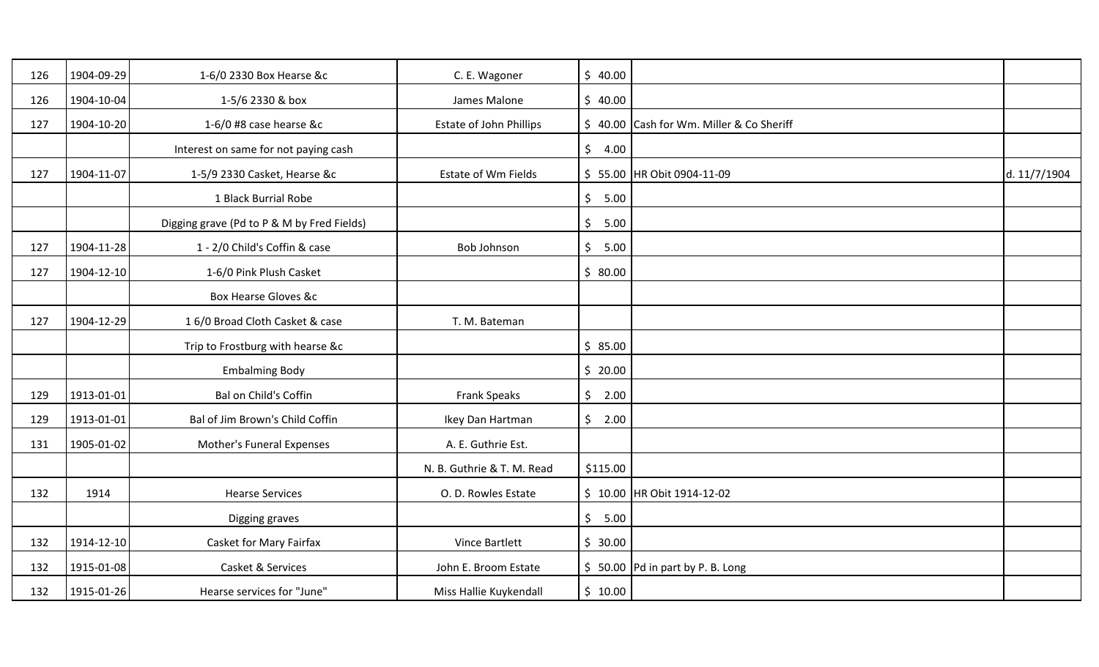| 126 | 1904-09-29 | 1-6/0 2330 Box Hearse &c                   | C. E. Wagoner              | \$40.00                     |                                          |              |
|-----|------------|--------------------------------------------|----------------------------|-----------------------------|------------------------------------------|--------------|
| 126 | 1904-10-04 | 1-5/6 2330 & box                           | James Malone               | \$40.00                     |                                          |              |
| 127 | 1904-10-20 | 1-6/0 #8 case hearse &c                    | Estate of John Phillips    |                             | \$40.00 Cash for Wm. Miller & Co Sheriff |              |
|     |            | Interest on same for not paying cash       |                            | \$<br>4.00                  |                                          |              |
| 127 | 1904-11-07 | 1-5/9 2330 Casket, Hearse &c               | Estate of Wm Fields        |                             | \$55.00 HR Obit 0904-11-09               | d. 11/7/1904 |
|     |            | 1 Black Burrial Robe                       |                            | $\frac{1}{2}$<br>5.00       |                                          |              |
|     |            | Digging grave (Pd to P & M by Fred Fields) |                            | \$<br>5.00                  |                                          |              |
| 127 | 1904-11-28 | 1 - 2/0 Child's Coffin & case              | Bob Johnson                | \$<br>5.00                  |                                          |              |
| 127 | 1904-12-10 | 1-6/0 Pink Plush Casket                    |                            | \$80.00                     |                                          |              |
|     |            | <b>Box Hearse Gloves &amp;c</b>            |                            |                             |                                          |              |
| 127 | 1904-12-29 | 16/0 Broad Cloth Casket & case             | T. M. Bateman              |                             |                                          |              |
|     |            | Trip to Frostburg with hearse &c           |                            | \$85.00                     |                                          |              |
|     |            | <b>Embalming Body</b>                      |                            | \$20.00                     |                                          |              |
| 129 | 1913-01-01 | Bal on Child's Coffin                      | Frank Speaks               | \$2.00                      |                                          |              |
| 129 | 1913-01-01 | Bal of Jim Brown's Child Coffin            | Ikey Dan Hartman           | \$<br>2.00                  |                                          |              |
| 131 | 1905-01-02 | Mother's Funeral Expenses                  | A. E. Guthrie Est.         |                             |                                          |              |
|     |            |                                            | N. B. Guthrie & T. M. Read | \$115.00                    |                                          |              |
| 132 | 1914       | <b>Hearse Services</b>                     | O. D. Rowles Estate        |                             | \$ 10.00 HR Obit 1914-12-02              |              |
|     |            | Digging graves                             |                            | $\ddot{\mathsf{S}}$<br>5.00 |                                          |              |
| 132 | 1914-12-10 | Casket for Mary Fairfax                    | Vince Bartlett             | \$30.00                     |                                          |              |
| 132 | 1915-01-08 | Casket & Services                          | John E. Broom Estate       |                             | $$50.00$ Pd in part by P. B. Long        |              |
| 132 | 1915-01-26 | Hearse services for "June"                 | Miss Hallie Kuykendall     | \$10.00                     |                                          |              |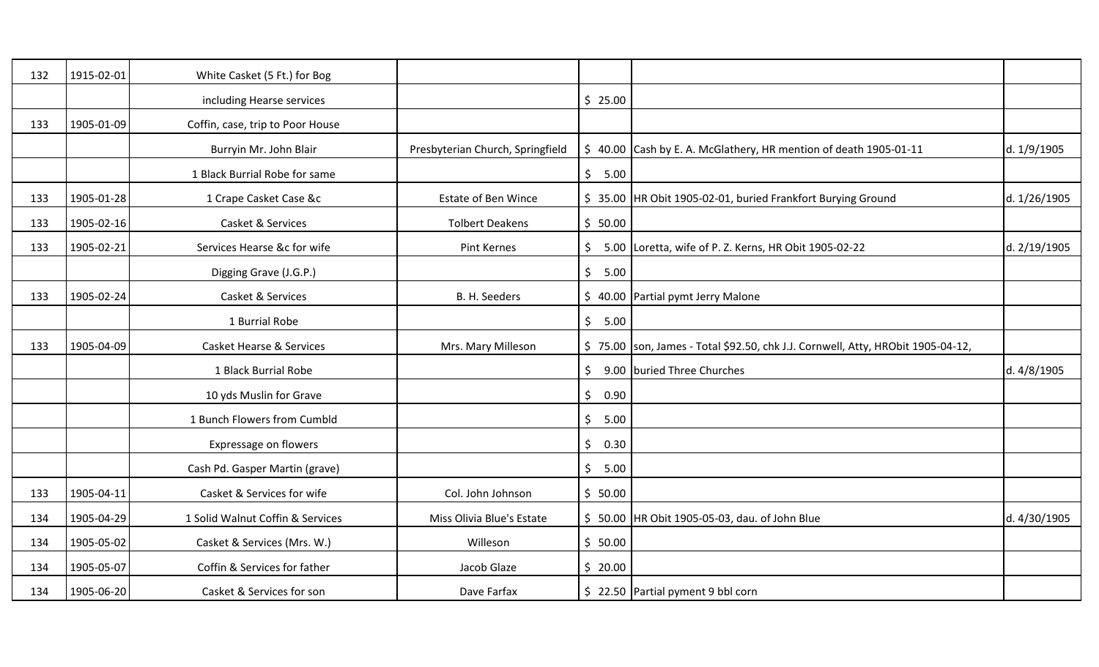| 132 | 1915-02-01 | White Casket (5 Ft.) for Bog        |                                  |            |                                                                                   |              |
|-----|------------|-------------------------------------|----------------------------------|------------|-----------------------------------------------------------------------------------|--------------|
|     |            | including Hearse services           |                                  | \$25.00    |                                                                                   |              |
| 133 | 1905-01-09 | Coffin, case, trip to Poor House    |                                  |            |                                                                                   |              |
|     |            | Burryin Mr. John Blair              | Presbyterian Church, Springfield |            | \$ 40.00 Cash by E. A. McGlathery, HR mention of death 1905-01-11                 | d. 1/9/1905  |
|     |            | 1 Black Burrial Robe for same       |                                  | \$5.00     |                                                                                   |              |
| 133 | 1905-01-28 | 1 Crape Casket Case &c              | <b>Estate of Ben Wince</b>       |            | \$35.00 HR Obit 1905-02-01, buried Frankfort Burying Ground                       | d. 1/26/1905 |
| 133 | 1905-02-16 | Casket & Services                   | <b>Tolbert Deakens</b>           | \$50.00    |                                                                                   |              |
| 133 | 1905-02-21 | Services Hearse &c for wife         | Pint Kernes                      | \$         | 5.00 Loretta, wife of P. Z. Kerns, HR Obit 1905-02-22                             | d. 2/19/1905 |
|     |            | Digging Grave (J.G.P.)              |                                  | \$5.00     |                                                                                   |              |
| 133 | 1905-02-24 | Casket & Services                   | B. H. Seeders                    |            | \$ 40.00 Partial pymt Jerry Malone                                                |              |
|     |            | 1 Burrial Robe                      |                                  | \$<br>5.00 |                                                                                   |              |
| 133 | 1905-04-09 | <b>Casket Hearse &amp; Services</b> | Mrs. Mary Milleson               |            | \$75.00   son, James - Total \$92.50, chk J.J. Cornwell, Atty, HRObit 1905-04-12, |              |
|     |            | 1 Black Burrial Robe                |                                  | \$         | 9.00 buried Three Churches                                                        | d. 4/8/1905  |
|     |            | 10 yds Muslin for Grave             |                                  | \$<br>0.90 |                                                                                   |              |
|     |            | 1 Bunch Flowers from Cumbld         |                                  | \$<br>5.00 |                                                                                   |              |
|     |            | Expressage on flowers               |                                  | \$<br>0.30 |                                                                                   |              |
|     |            | Cash Pd. Gasper Martin (grave)      |                                  | \$<br>5.00 |                                                                                   |              |
| 133 | 1905-04-11 | Casket & Services for wife          | Col. John Johnson                | \$50.00    |                                                                                   |              |
| 134 | 1905-04-29 | 1 Solid Walnut Coffin & Services    | Miss Olivia Blue's Estate        |            | \$50.00 HR Obit 1905-05-03, dau. of John Blue                                     | d. 4/30/1905 |
| 134 | 1905-05-02 | Casket & Services (Mrs. W.)         | Willeson                         | \$50.00    |                                                                                   |              |
| 134 | 1905-05-07 | Coffin & Services for father        | Jacob Glaze                      | \$20.00    |                                                                                   |              |
| 134 | 1905-06-20 | Casket & Services for son           | Dave Farfax                      |            | \$22.50 Partial pyment 9 bbl corn                                                 |              |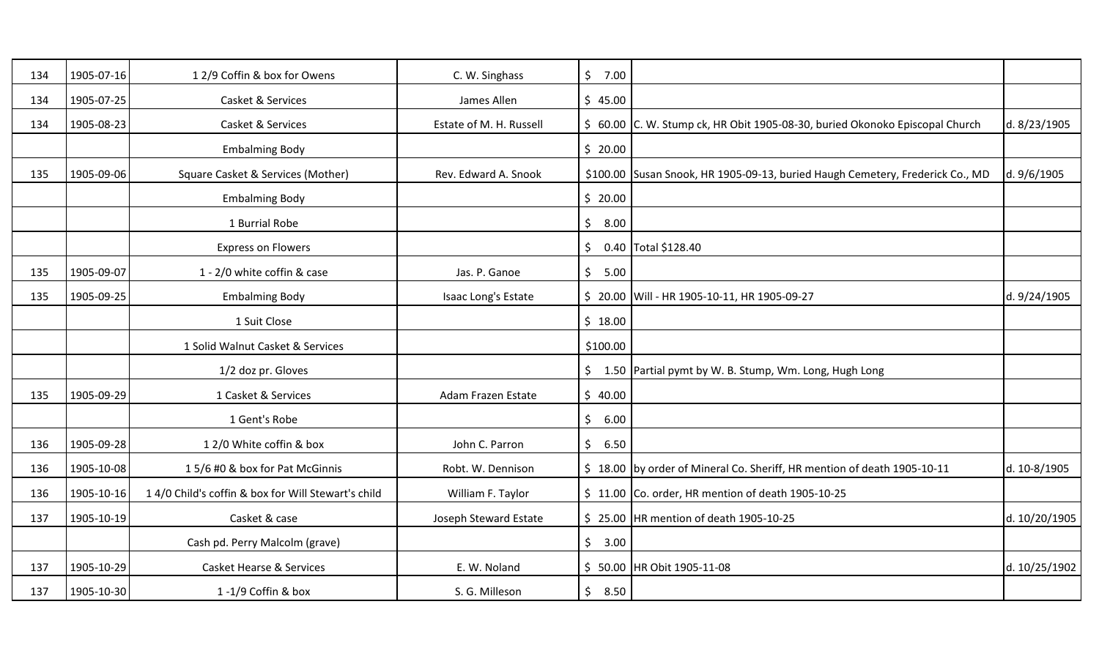| 134 | 1905-07-16 | 12/9 Coffin & box for Owens                        | C. W. Singhass          | \$7.00          |                                                                               |               |
|-----|------------|----------------------------------------------------|-------------------------|-----------------|-------------------------------------------------------------------------------|---------------|
| 134 | 1905-07-25 | Casket & Services                                  | James Allen             | \$45.00         |                                                                               |               |
| 134 | 1905-08-23 | Casket & Services                                  | Estate of M. H. Russell |                 | \$ 60.00 C. W. Stump ck, HR Obit 1905-08-30, buried Okonoko Episcopal Church  | d. 8/23/1905  |
|     |            | <b>Embalming Body</b>                              |                         | \$20.00         |                                                                               |               |
| 135 | 1905-09-06 | Square Casket & Services (Mother)                  | Rev. Edward A. Snook    |                 | \$100.00 Susan Snook, HR 1905-09-13, buried Haugh Cemetery, Frederick Co., MD | d. 9/6/1905   |
|     |            | <b>Embalming Body</b>                              |                         | \$20.00         |                                                                               |               |
|     |            | 1 Burrial Robe                                     |                         | $\zeta$<br>8.00 |                                                                               |               |
|     |            | <b>Express on Flowers</b>                          |                         | \$              | 0.40 Total \$128.40                                                           |               |
| 135 | 1905-09-07 | 1 - 2/0 white coffin & case                        | Jas. P. Ganoe           | \$5.00          |                                                                               |               |
| 135 | 1905-09-25 | <b>Embalming Body</b>                              | Isaac Long's Estate     |                 | \$ 20.00 Will - HR 1905-10-11, HR 1905-09-27                                  | d. 9/24/1905  |
|     |            | 1 Suit Close                                       |                         | \$18.00         |                                                                               |               |
|     |            | 1 Solid Walnut Casket & Services                   |                         | \$100.00        |                                                                               |               |
|     |            | 1/2 doz pr. Gloves                                 |                         |                 | \$1.50 Partial pymt by W. B. Stump, Wm. Long, Hugh Long                       |               |
| 135 | 1905-09-29 | 1 Casket & Services                                | Adam Frazen Estate      | \$40.00         |                                                                               |               |
|     |            | 1 Gent's Robe                                      |                         | $\zeta$<br>6.00 |                                                                               |               |
| 136 | 1905-09-28 | 12/0 White coffin & box                            | John C. Parron          | 6.50<br>$\zeta$ |                                                                               |               |
| 136 | 1905-10-08 | 15/6 #0 & box for Pat McGinnis                     | Robt. W. Dennison       |                 | \$18.00 by order of Mineral Co. Sheriff, HR mention of death 1905-10-11       | d. 10-8/1905  |
| 136 | 1905-10-16 | 14/0 Child's coffin & box for Will Stewart's child | William F. Taylor       |                 | $\frac{1}{2}$ 11.00 Co. order, HR mention of death 1905-10-25                 |               |
| 137 | 1905-10-19 | Casket & case                                      | Joseph Steward Estate   |                 | \$25.00 HR mention of death 1905-10-25                                        | d. 10/20/1905 |
|     |            | Cash pd. Perry Malcolm (grave)                     |                         | \$3.00          |                                                                               |               |
| 137 | 1905-10-29 | <b>Casket Hearse &amp; Services</b>                | E. W. Noland            |                 | \$ 50.00 HR Obit 1905-11-08                                                   | d. 10/25/1902 |
| 137 | 1905-10-30 | 1-1/9 Coffin & box                                 | S. G. Milleson          | \$<br>8.50      |                                                                               |               |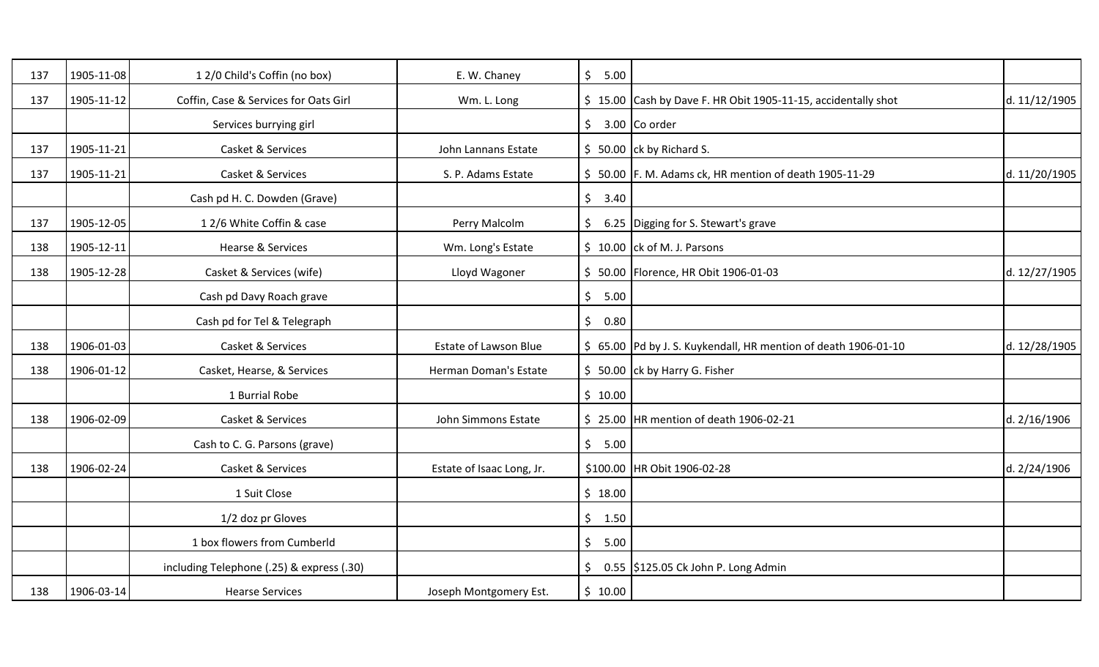| 137 | 1905-11-08 | 12/0 Child's Coffin (no box)              | E. W. Chaney                 | \$<br>5.00 |                                                                 |               |
|-----|------------|-------------------------------------------|------------------------------|------------|-----------------------------------------------------------------|---------------|
| 137 | 1905-11-12 | Coffin, Case & Services for Oats Girl     | Wm. L. Long                  |            | \$15.00 Cash by Dave F. HR Obit 1905-11-15, accidentally shot   | d. 11/12/1905 |
|     |            | Services burrying girl                    |                              |            | $\frac{1}{2}$ 3.00 Co order                                     |               |
| 137 | 1905-11-21 | Casket & Services                         | John Lannans Estate          |            | $$50.00$ ck by Richard S.                                       |               |
| 137 | 1905-11-21 | Casket & Services                         | S. P. Adams Estate           |            | \$50.00 F. M. Adams ck, HR mention of death 1905-11-29          | d. 11/20/1905 |
|     |            | Cash pd H. C. Dowden (Grave)              |                              | \$3.40     |                                                                 |               |
| 137 | 1905-12-05 | 12/6 White Coffin & case                  | Perry Malcolm                | \$         | 6.25 Digging for S. Stewart's grave                             |               |
| 138 | 1905-12-11 | <b>Hearse &amp; Services</b>              | Wm. Long's Estate            |            | $\frac{1}{2}$ 10.00 ck of M. J. Parsons                         |               |
| 138 | 1905-12-28 | Casket & Services (wife)                  | Lloyd Wagoner                |            | \$ 50.00   Florence, HR Obit 1906-01-03                         | d. 12/27/1905 |
|     |            | Cash pd Davy Roach grave                  |                              | \$<br>5.00 |                                                                 |               |
|     |            | Cash pd for Tel & Telegraph               |                              | \$<br>0.80 |                                                                 |               |
| 138 | 1906-01-03 | Casket & Services                         | <b>Estate of Lawson Blue</b> |            | \$ 65.00 Pd by J. S. Kuykendall, HR mention of death 1906-01-10 | d. 12/28/1905 |
| 138 | 1906-01-12 | Casket, Hearse, & Services                | Herman Doman's Estate        |            | \$ 50.00 ck by Harry G. Fisher                                  |               |
|     |            | 1 Burrial Robe                            |                              | \$10.00    |                                                                 |               |
| 138 | 1906-02-09 | Casket & Services                         | John Simmons Estate          |            | \$25.00 HR mention of death 1906-02-21                          | d. 2/16/1906  |
|     |            | Cash to C. G. Parsons (grave)             |                              | \$5.00     |                                                                 |               |
| 138 | 1906-02-24 | Casket & Services                         | Estate of Isaac Long, Jr.    |            | \$100.00 HR Obit 1906-02-28                                     | d. 2/24/1906  |
|     |            | 1 Suit Close                              |                              | \$18.00    |                                                                 |               |
|     |            | 1/2 doz pr Gloves                         |                              | \$1.50     |                                                                 |               |
|     |            | 1 box flowers from Cumberld               |                              | \$<br>5.00 |                                                                 |               |
|     |            | including Telephone (.25) & express (.30) |                              | \$         | 0.55 \$125.05 Ck John P. Long Admin                             |               |
| 138 | 1906-03-14 | <b>Hearse Services</b>                    | Joseph Montgomery Est.       | \$10.00    |                                                                 |               |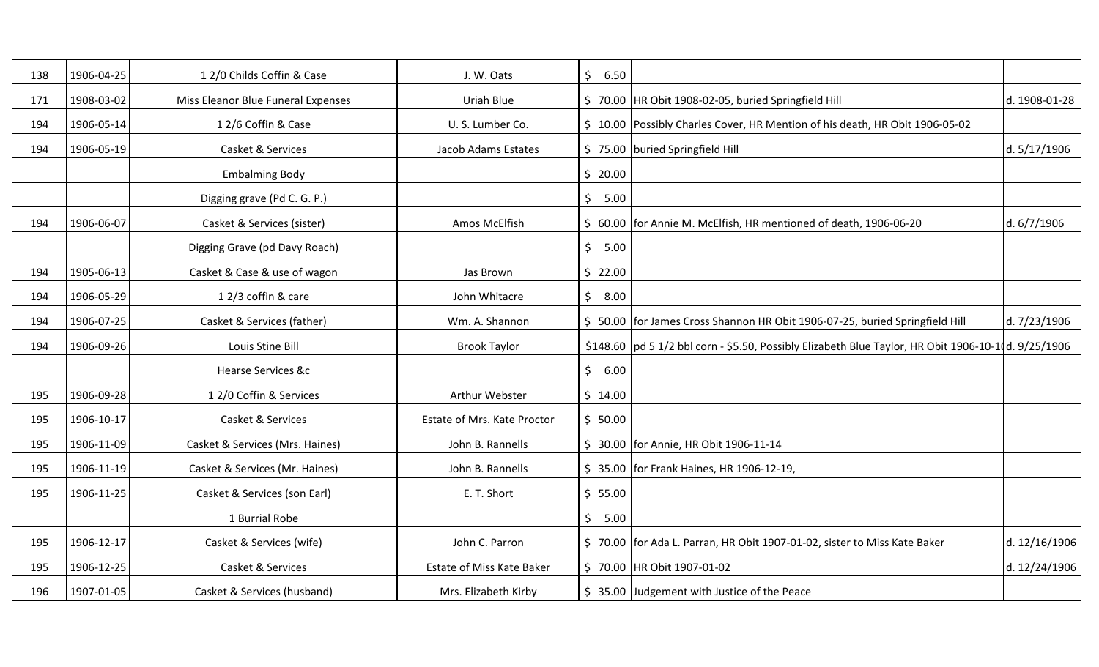| 138 | 1906-04-25 | 12/0 Childs Coffin & Case          | J. W. Oats                  | \$<br>6.50 |                                                                                                      |               |
|-----|------------|------------------------------------|-----------------------------|------------|------------------------------------------------------------------------------------------------------|---------------|
| 171 | 1908-03-02 | Miss Eleanor Blue Funeral Expenses | Uriah Blue                  |            | \$70.00 HR Obit 1908-02-05, buried Springfield Hill                                                  | d. 1908-01-28 |
| 194 | 1906-05-14 | 12/6 Coffin & Case                 | U.S. Lumber Co.             |            | \$10.00 Possibly Charles Cover, HR Mention of his death, HR Obit 1906-05-02                          |               |
| 194 | 1906-05-19 | Casket & Services                  | Jacob Adams Estates         |            | \$75.00 buried Springfield Hill                                                                      | d. 5/17/1906  |
|     |            | <b>Embalming Body</b>              |                             | \$20.00    |                                                                                                      |               |
|     |            | Digging grave (Pd C. G. P.)        |                             | \$5.00     |                                                                                                      |               |
| 194 | 1906-06-07 | Casket & Services (sister)         | Amos McElfish               |            | \$ 60.00 for Annie M. McElfish, HR mentioned of death, 1906-06-20                                    | d. 6/7/1906   |
|     |            | Digging Grave (pd Davy Roach)      |                             | 5.00<br>\$ |                                                                                                      |               |
| 194 | 1905-06-13 | Casket & Case & use of wagon       | Jas Brown                   | \$22.00    |                                                                                                      |               |
| 194 | 1906-05-29 | 12/3 coffin & care                 | John Whitacre               | \$<br>8.00 |                                                                                                      |               |
| 194 | 1906-07-25 | Casket & Services (father)         | Wm. A. Shannon              |            | \$50.00   for James Cross Shannon HR Obit 1906-07-25, buried Springfield Hill                        | d. 7/23/1906  |
| 194 | 1906-09-26 | Louis Stine Bill                   | <b>Brook Taylor</b>         |            | \$148.60  pd 5 1/2 bbl corn - \$5.50, Possibly Elizabeth Blue Taylor, HR Obit 1906-10-10d. 9/25/1906 |               |
|     |            | <b>Hearse Services &amp;c</b>      |                             | \$<br>6.00 |                                                                                                      |               |
| 195 | 1906-09-28 | 1 2/0 Coffin & Services            | Arthur Webster              | \$14.00    |                                                                                                      |               |
| 195 | 1906-10-17 | Casket & Services                  | Estate of Mrs. Kate Proctor | \$50.00    |                                                                                                      |               |
| 195 | 1906-11-09 | Casket & Services (Mrs. Haines)    | John B. Rannells            |            | \$ 30.00 for Annie, HR Obit 1906-11-14                                                               |               |
| 195 | 1906-11-19 | Casket & Services (Mr. Haines)     | John B. Rannells            |            | \$ 35.00 for Frank Haines, HR 1906-12-19,                                                            |               |
| 195 | 1906-11-25 | Casket & Services (son Earl)       | E. T. Short                 | \$55.00    |                                                                                                      |               |
|     |            | 1 Burrial Robe                     |                             | \$5.00     |                                                                                                      |               |
| 195 | 1906-12-17 | Casket & Services (wife)           | John C. Parron              |            | \$70.00   for Ada L. Parran, HR Obit 1907-01-02, sister to Miss Kate Baker                           | d. 12/16/1906 |
| 195 | 1906-12-25 | Casket & Services                  | Estate of Miss Kate Baker   |            | \$70.00 HR Obit 1907-01-02                                                                           | d. 12/24/1906 |
| 196 | 1907-01-05 | Casket & Services (husband)        | Mrs. Elizabeth Kirby        |            | \$35.00 Judgement with Justice of the Peace                                                          |               |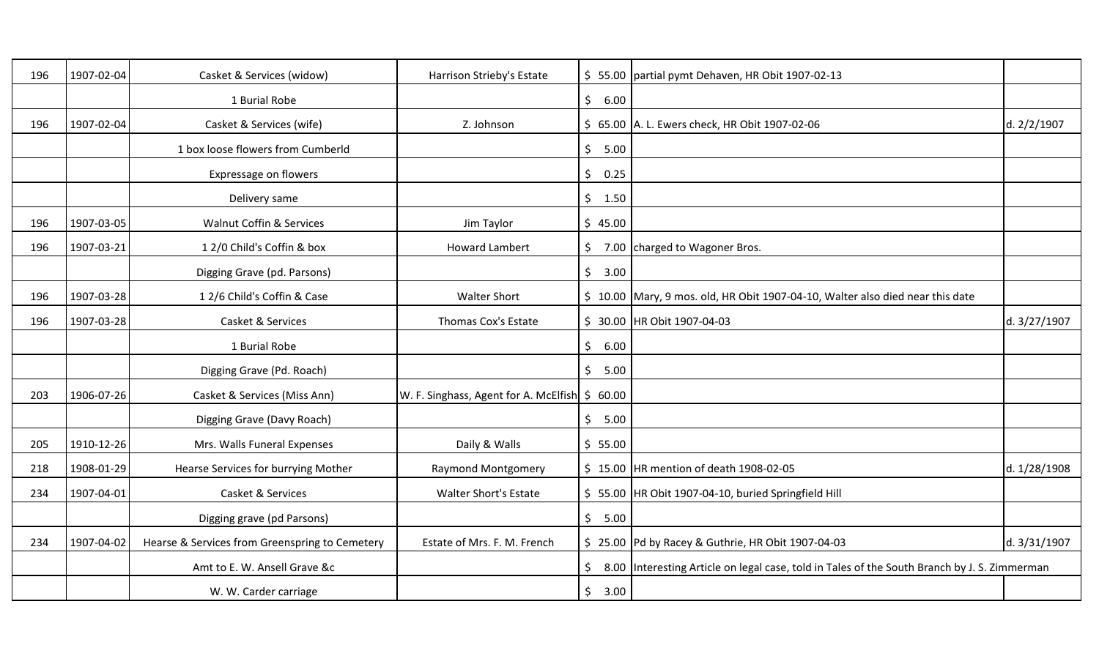| 196 | 1907-02-04 | Casket & Services (widow)                      | Harrison Strieby's Estate                      |                      | \$55.00   partial pymt Dehaven, HR Obit 1907-02-13                                           |              |
|-----|------------|------------------------------------------------|------------------------------------------------|----------------------|----------------------------------------------------------------------------------------------|--------------|
|     |            | 1 Burial Robe                                  |                                                | \$<br>6.00           |                                                                                              |              |
| 196 | 1907-02-04 | Casket & Services (wife)                       | Z. Johnson                                     |                      | \$ 65.00 A. L. Ewers check, HR Obit 1907-02-06                                               | d. 2/2/1907  |
|     |            | 1 box loose flowers from Cumberld              |                                                | \$5.00               |                                                                                              |              |
|     |            | Expressage on flowers                          |                                                | \$<br>0.25           |                                                                                              |              |
|     |            | Delivery same                                  |                                                | \$1.50               |                                                                                              |              |
| 196 | 1907-03-05 | <b>Walnut Coffin &amp; Services</b>            | Jim Taylor                                     | \$45.00              |                                                                                              |              |
| 196 | 1907-03-21 | 12/0 Child's Coffin & box                      | <b>Howard Lambert</b>                          | \$                   | 7.00 charged to Wagoner Bros.                                                                |              |
|     |            | Digging Grave (pd. Parsons)                    |                                                | \$3.00               |                                                                                              |              |
| 196 | 1907-03-28 | 12/6 Child's Coffin & Case                     | <b>Walter Short</b>                            |                      | \$ 10.00 Mary, 9 mos. old, HR Obit 1907-04-10, Walter also died near this date               |              |
| 196 | 1907-03-28 | Casket & Services                              | Thomas Cox's Estate                            |                      | \$ 30.00 HR Obit 1907-04-03                                                                  | d. 3/27/1907 |
|     |            | 1 Burial Robe                                  |                                                | \$<br>6.00           |                                                                                              |              |
|     |            | Digging Grave (Pd. Roach)                      |                                                | \$<br>5.00           |                                                                                              |              |
| 203 | 1906-07-26 | Casket & Services (Miss Ann)                   | W. F. Singhass, Agent for A. McElfish \$ 60.00 |                      |                                                                                              |              |
|     |            | Digging Grave (Davy Roach)                     |                                                | \$<br>5.00           |                                                                                              |              |
| 205 | 1910-12-26 | Mrs. Walls Funeral Expenses                    | Daily & Walls                                  | \$55.00              |                                                                                              |              |
| 218 | 1908-01-29 | Hearse Services for burrying Mother            | <b>Raymond Montgomery</b>                      |                      | $$ 15.00$ HR mention of death 1908-02-05                                                     | d. 1/28/1908 |
| 234 | 1907-04-01 | Casket & Services                              | <b>Walter Short's Estate</b>                   |                      | \$ 55.00   HR Obit 1907-04-10, buried Springfield Hill                                       |              |
|     |            | Digging grave (pd Parsons)                     |                                                | $\mathsf{S}$<br>5.00 |                                                                                              |              |
| 234 | 1907-04-02 | Hearse & Services from Greenspring to Cemetery | Estate of Mrs. F. M. French                    |                      | \$ 25.00 Pd by Racey & Guthrie, HR Obit 1907-04-03                                           | d. 3/31/1907 |
|     |            | Amt to E. W. Ansell Grave &c                   |                                                | \$                   | 8.00 Interesting Article on legal case, told in Tales of the South Branch by J. S. Zimmerman |              |
|     |            | W. W. Carder carriage                          |                                                | \$<br>3.00           |                                                                                              |              |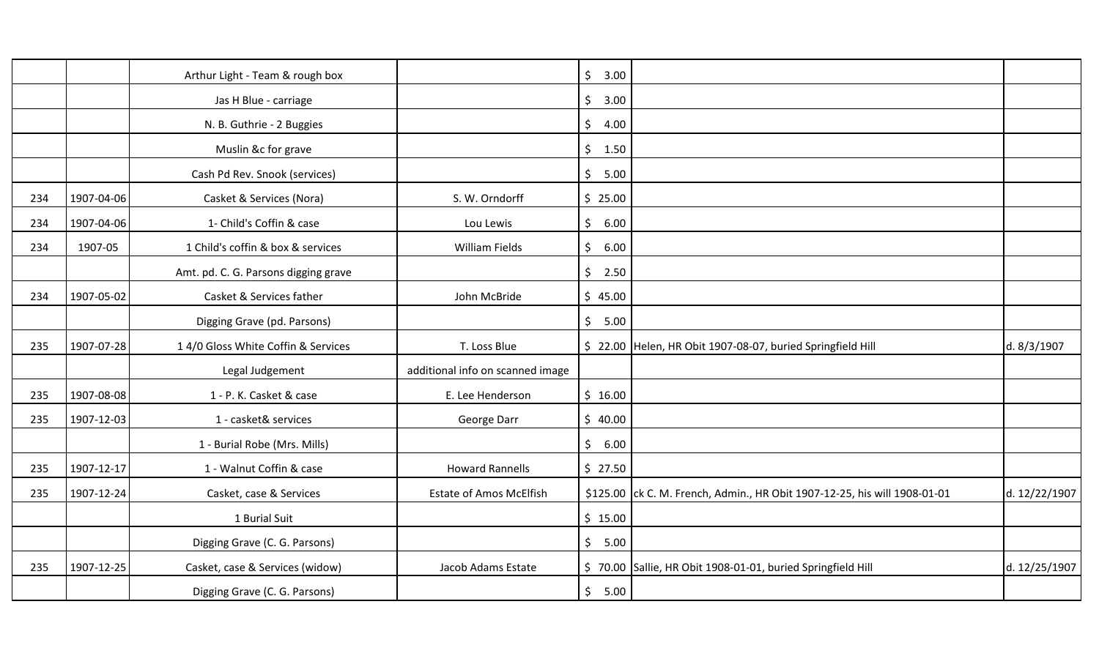|     |            | Arthur Light - Team & rough box      |                                  | $\zeta$<br>3.00       |                                                                           |               |
|-----|------------|--------------------------------------|----------------------------------|-----------------------|---------------------------------------------------------------------------|---------------|
|     |            | Jas H Blue - carriage                |                                  | $\frac{1}{2}$<br>3.00 |                                                                           |               |
|     |            | N. B. Guthrie - 2 Buggies            |                                  | \$<br>4.00            |                                                                           |               |
|     |            | Muslin &c for grave                  |                                  | \$1.50                |                                                                           |               |
|     |            | Cash Pd Rev. Snook (services)        |                                  | \$5.00                |                                                                           |               |
| 234 | 1907-04-06 | Casket & Services (Nora)             | S. W. Orndorff                   | \$25.00               |                                                                           |               |
| 234 | 1907-04-06 | 1- Child's Coffin & case             | Lou Lewis                        | $\zeta$<br>6.00       |                                                                           |               |
| 234 | 1907-05    | 1 Child's coffin & box & services    | William Fields                   | $\zeta$<br>6.00       |                                                                           |               |
|     |            | Amt. pd. C. G. Parsons digging grave |                                  | \$2.50                |                                                                           |               |
| 234 | 1907-05-02 | Casket & Services father             | John McBride                     | \$45.00               |                                                                           |               |
|     |            | Digging Grave (pd. Parsons)          |                                  | \$5.00                |                                                                           |               |
|     | 1907-07-28 | 14/0 Gloss White Coffin & Services   | T. Loss Blue                     |                       | \$22.00 Helen, HR Obit 1907-08-07, buried Springfield Hill                | d. 8/3/1907   |
| 235 |            |                                      |                                  |                       |                                                                           |               |
|     |            | Legal Judgement                      | additional info on scanned image |                       |                                                                           |               |
| 235 | 1907-08-08 | 1 - P. K. Casket & case              | E. Lee Henderson                 | \$16.00               |                                                                           |               |
| 235 | 1907-12-03 | 1 - casket& services                 | George Darr                      | \$40.00               |                                                                           |               |
|     |            | 1 - Burial Robe (Mrs. Mills)         |                                  | $\zeta$<br>6.00       |                                                                           |               |
| 235 | 1907-12-17 | 1 - Walnut Coffin & case             | <b>Howard Rannells</b>           | \$27.50               |                                                                           |               |
| 235 | 1907-12-24 | Casket, case & Services              | <b>Estate of Amos McElfish</b>   |                       | \$125.00 ck C. M. French, Admin., HR Obit 1907-12-25, his will 1908-01-01 | d. 12/22/1907 |
|     |            | 1 Burial Suit                        |                                  | \$15.00               |                                                                           |               |
|     |            | Digging Grave (C. G. Parsons)        |                                  | \$5.00                |                                                                           |               |
| 235 | 1907-12-25 | Casket, case & Services (widow)      | Jacob Adams Estate               |                       | \$70.00 Sallie, HR Obit 1908-01-01, buried Springfield Hill               | d. 12/25/1907 |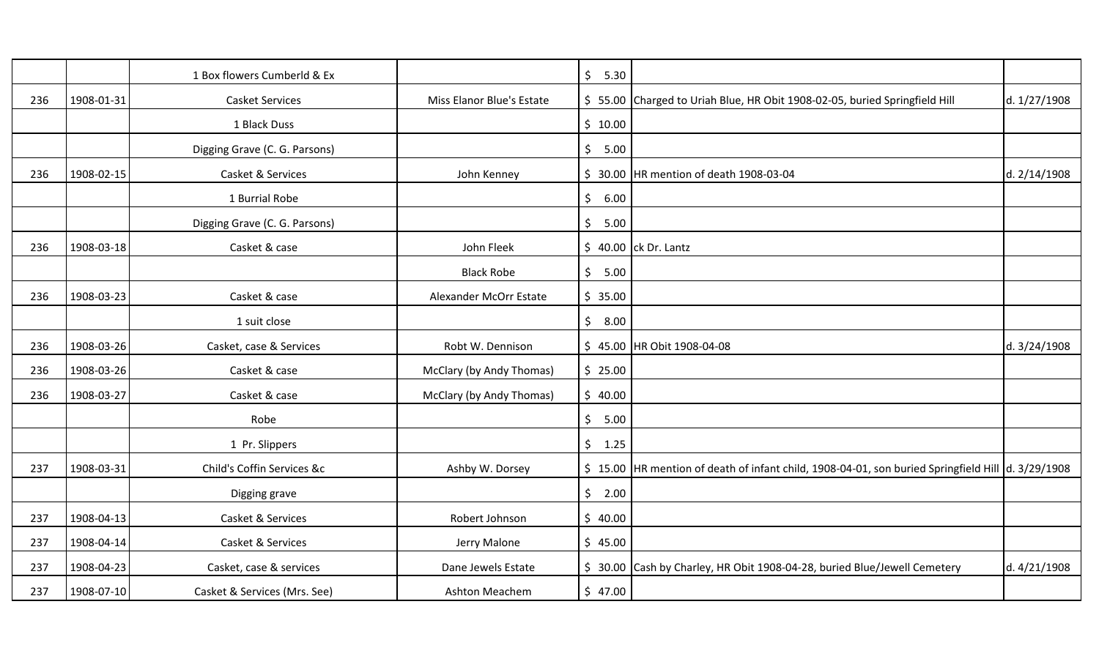|     |            | 1 Box flowers Cumberld & Ex   |                           | $\zeta$<br>5.30       |                                                                                                   |              |
|-----|------------|-------------------------------|---------------------------|-----------------------|---------------------------------------------------------------------------------------------------|--------------|
| 236 | 1908-01-31 | <b>Casket Services</b>        | Miss Elanor Blue's Estate |                       | \$55.00 Charged to Uriah Blue, HR Obit 1908-02-05, buried Springfield Hill                        | d. 1/27/1908 |
|     |            | 1 Black Duss                  |                           | \$10.00               |                                                                                                   |              |
|     |            | Digging Grave (C. G. Parsons) |                           | \$<br>5.00            |                                                                                                   |              |
| 236 | 1908-02-15 | Casket & Services             | John Kenney               | \$.                   | 30.00 HR mention of death 1908-03-04                                                              | d. 2/14/1908 |
|     |            | 1 Burrial Robe                |                           | \$<br>6.00            |                                                                                                   |              |
|     |            | Digging Grave (C. G. Parsons) |                           | \$<br>5.00            |                                                                                                   |              |
| 236 | 1908-03-18 | Casket & case                 | John Fleek                |                       | $$40.00$ ck Dr. Lantz                                                                             |              |
|     |            |                               | <b>Black Robe</b>         | $\zeta$<br>5.00       |                                                                                                   |              |
| 236 | 1908-03-23 | Casket & case                 | Alexander McOrr Estate    | \$35.00               |                                                                                                   |              |
|     |            | 1 suit close                  |                           | \$8.00                |                                                                                                   |              |
| 236 | 1908-03-26 | Casket, case & Services       | Robt W. Dennison          |                       | \$45.00 HR Obit 1908-04-08                                                                        | d. 3/24/1908 |
| 236 | 1908-03-26 | Casket & case                 | McClary (by Andy Thomas)  | \$25.00               |                                                                                                   |              |
| 236 | 1908-03-27 | Casket & case                 | McClary (by Andy Thomas)  | \$40.00               |                                                                                                   |              |
|     |            | Robe                          |                           | $\frac{1}{2}$<br>5.00 |                                                                                                   |              |
|     |            | 1 Pr. Slippers                |                           | \$1.25                |                                                                                                   |              |
| 237 | 1908-03-31 | Child's Coffin Services &c    | Ashby W. Dorsey           |                       | \$15.00 HR mention of death of infant child, 1908-04-01, son buried Springfield Hill d. 3/29/1908 |              |
|     |            | Digging grave                 |                           | \$2.00                |                                                                                                   |              |
| 237 | 1908-04-13 | Casket & Services             | Robert Johnson            | \$40.00               |                                                                                                   |              |
| 237 | 1908-04-14 | Casket & Services             | Jerry Malone              | \$45.00               |                                                                                                   |              |
| 237 | 1908-04-23 | Casket, case & services       | Dane Jewels Estate        |                       | \$ 30.00 Cash by Charley, HR Obit 1908-04-28, buried Blue/Jewell Cemetery                         | d. 4/21/1908 |
| 237 | 1908-07-10 | Casket & Services (Mrs. See)  | Ashton Meachem            | \$47.00               |                                                                                                   |              |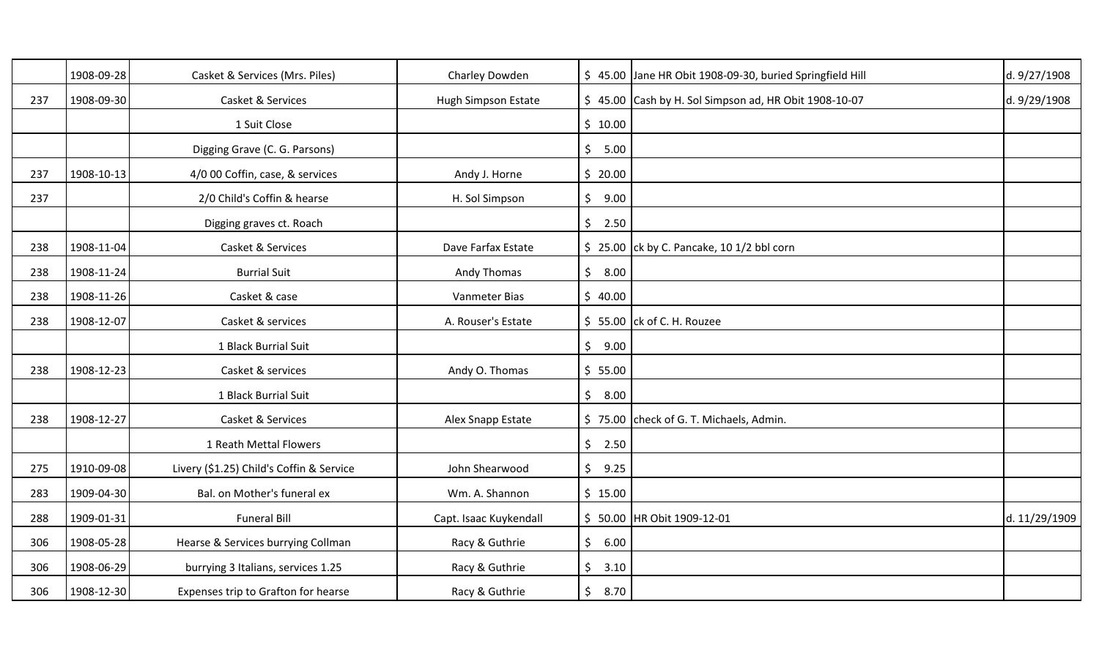|     | 1908-09-28 | Casket & Services (Mrs. Piles)           | Charley Dowden         |                       | \$ 45.00 Jane HR Obit 1908-09-30, buried Springfield Hill | d. 9/27/1908  |
|-----|------------|------------------------------------------|------------------------|-----------------------|-----------------------------------------------------------|---------------|
| 237 | 1908-09-30 | Casket & Services                        | Hugh Simpson Estate    |                       | \$45.00 Cash by H. Sol Simpson ad, HR Obit 1908-10-07     | d. 9/29/1908  |
|     |            | 1 Suit Close                             |                        | \$10.00               |                                                           |               |
|     |            | Digging Grave (C. G. Parsons)            |                        | \$5.00                |                                                           |               |
| 237 | 1908-10-13 | 4/0 00 Coffin, case, & services          | Andy J. Horne          | \$20.00               |                                                           |               |
| 237 |            | 2/0 Child's Coffin & hearse              | H. Sol Simpson         | $\zeta$<br>9.00       |                                                           |               |
|     |            | Digging graves ct. Roach                 |                        | \$2.50                |                                                           |               |
| 238 | 1908-11-04 | Casket & Services                        | Dave Farfax Estate     |                       | $\frac{1}{2}$ 25.00 ck by C. Pancake, 10 1/2 bbl corn     |               |
| 238 | 1908-11-24 | <b>Burrial Suit</b>                      | Andy Thomas            | \$8.00                |                                                           |               |
| 238 | 1908-11-26 | Casket & case                            | Vanmeter Bias          | \$40.00               |                                                           |               |
| 238 | 1908-12-07 | Casket & services                        | A. Rouser's Estate     |                       | $$55.00$ ck of C. H. Rouzee                               |               |
|     |            | 1 Black Burrial Suit                     |                        | \$9.00                |                                                           |               |
| 238 | 1908-12-23 | Casket & services                        | Andy O. Thomas         | \$55.00               |                                                           |               |
|     |            | 1 Black Burrial Suit                     |                        | $\frac{1}{2}$<br>8.00 |                                                           |               |
| 238 | 1908-12-27 | Casket & Services                        | Alex Snapp Estate      |                       | \$75.00 check of G. T. Michaels, Admin.                   |               |
|     |            | 1 Reath Mettal Flowers                   |                        | \$2.50                |                                                           |               |
| 275 | 1910-09-08 | Livery (\$1.25) Child's Coffin & Service | John Shearwood         | 9.25<br>\$            |                                                           |               |
| 283 | 1909-04-30 | Bal. on Mother's funeral ex              | Wm. A. Shannon         | \$15.00               |                                                           |               |
| 288 | 1909-01-31 | <b>Funeral Bill</b>                      | Capt. Isaac Kuykendall |                       | \$50.00 HR Obit 1909-12-01                                | d. 11/29/1909 |
| 306 | 1908-05-28 | Hearse & Services burrying Collman       | Racy & Guthrie         | $\frac{1}{2}$<br>6.00 |                                                           |               |
| 306 | 1908-06-29 | burrying 3 Italians, services 1.25       | Racy & Guthrie         | \$<br>3.10            |                                                           |               |
| 306 | 1908-12-30 | Expenses trip to Grafton for hearse      | Racy & Guthrie         | \$<br>8.70            |                                                           |               |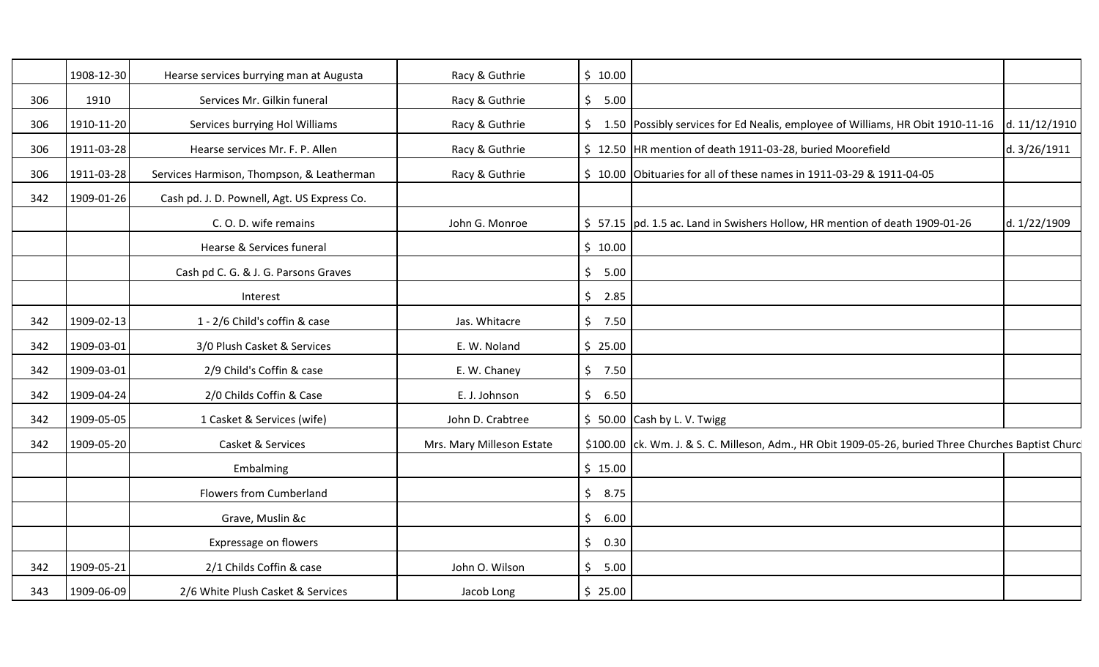|     | 1908-12-30 | Hearse services burrying man at Augusta     | Racy & Guthrie            | \$10.00    |                                                                                                     |               |
|-----|------------|---------------------------------------------|---------------------------|------------|-----------------------------------------------------------------------------------------------------|---------------|
| 306 | 1910       | Services Mr. Gilkin funeral                 | Racy & Guthrie            | \$5.00     |                                                                                                     |               |
| 306 | 1910-11-20 | Services burrying Hol Williams              | Racy & Guthrie            |            | \$1.50 Possibly services for Ed Nealis, employee of Williams, HR Obit 1910-11-16                    | d. 11/12/1910 |
| 306 | 1911-03-28 | Hearse services Mr. F. P. Allen             | Racy & Guthrie            |            | \$12.50 HR mention of death 1911-03-28, buried Moorefield                                           | d. 3/26/1911  |
| 306 | 1911-03-28 | Services Harmison, Thompson, & Leatherman   | Racy & Guthrie            |            | \$10.00 Obituaries for all of these names in 1911-03-29 & 1911-04-05                                |               |
| 342 | 1909-01-26 | Cash pd. J. D. Pownell, Agt. US Express Co. |                           |            |                                                                                                     |               |
|     |            | C.O.D. wife remains                         | John G. Monroe            |            | \$57.15  pd. 1.5 ac. Land in Swishers Hollow, HR mention of death 1909-01-26                        | d. 1/22/1909  |
|     |            | Hearse & Services funeral                   |                           | \$10.00    |                                                                                                     |               |
|     |            | Cash pd C. G. & J. G. Parsons Graves        |                           | \$5.00     |                                                                                                     |               |
|     |            | Interest                                    |                           | \$2.85     |                                                                                                     |               |
| 342 | 1909-02-13 | 1 - 2/6 Child's coffin & case               | Jas. Whitacre             | \$7.50     |                                                                                                     |               |
| 342 | 1909-03-01 | 3/0 Plush Casket & Services                 | E. W. Noland              | \$25.00    |                                                                                                     |               |
| 342 | 1909-03-01 | 2/9 Child's Coffin & case                   | E. W. Chaney              | \$7.50     |                                                                                                     |               |
| 342 | 1909-04-24 | 2/0 Childs Coffin & Case                    | E. J. Johnson             | \$<br>6.50 |                                                                                                     |               |
| 342 | 1909-05-05 | 1 Casket & Services (wife)                  | John D. Crabtree          |            | $$50.00$ Cash by L. V. Twigg                                                                        |               |
| 342 | 1909-05-20 | Casket & Services                           | Mrs. Mary Milleson Estate |            | \$100.00 ck. Wm. J. & S. C. Milleson, Adm., HR Obit 1909-05-26, buried Three Churches Baptist Churc |               |
|     |            | Embalming                                   |                           | \$15.00    |                                                                                                     |               |
|     |            | <b>Flowers from Cumberland</b>              |                           | \$8.75     |                                                                                                     |               |
|     |            | Grave, Muslin &c                            |                           | \$<br>6.00 |                                                                                                     |               |
|     |            | Expressage on flowers                       |                           | \$<br>0.30 |                                                                                                     |               |
| 342 | 1909-05-21 | 2/1 Childs Coffin & case                    | John O. Wilson            | \$<br>5.00 |                                                                                                     |               |
| 343 | 1909-06-09 | 2/6 White Plush Casket & Services           | Jacob Long                | \$25.00    |                                                                                                     |               |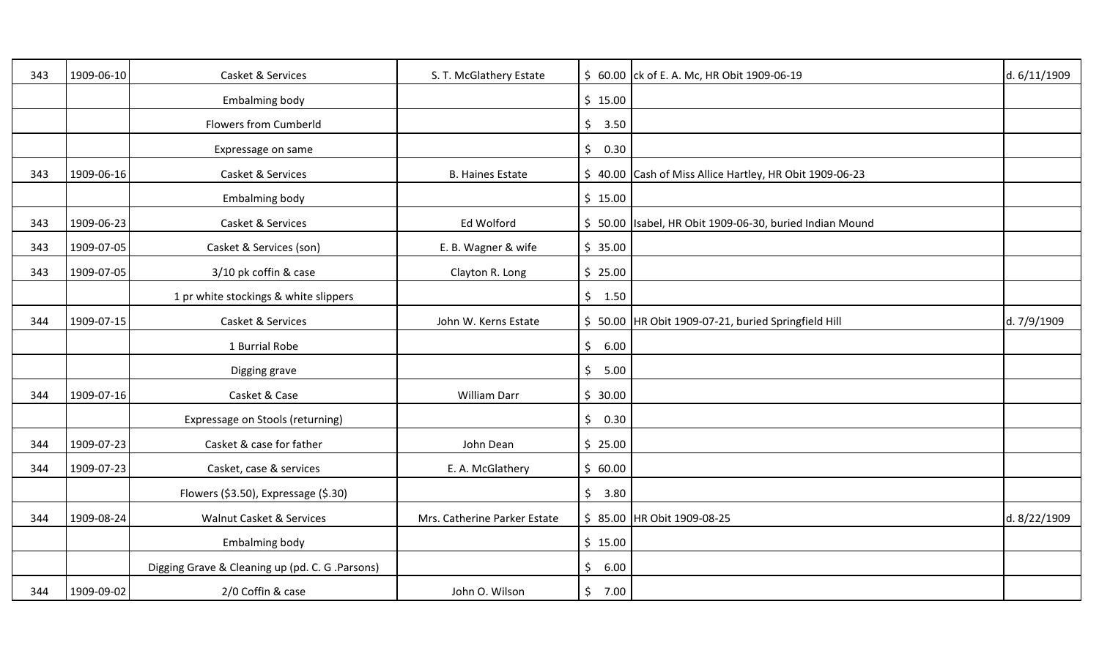| 343 | 1909-06-10 | Casket & Services                               | S. T. McGlathery Estate      |                 | \$ 60.00 ck of E. A. Mc, HR Obit 1909-06-19              | d. 6/11/1909 |
|-----|------------|-------------------------------------------------|------------------------------|-----------------|----------------------------------------------------------|--------------|
|     |            | <b>Embalming body</b>                           |                              | \$15.00         |                                                          |              |
|     |            | <b>Flowers from Cumberld</b>                    |                              | \$<br>3.50      |                                                          |              |
|     |            | Expressage on same                              |                              | $\zeta$<br>0.30 |                                                          |              |
| 343 | 1909-06-16 | Casket & Services                               | <b>B. Haines Estate</b>      |                 | \$40.00 Cash of Miss Allice Hartley, HR Obit 1909-06-23  |              |
|     |            | Embalming body                                  |                              | \$15.00         |                                                          |              |
| 343 | 1909-06-23 | Casket & Services                               | Ed Wolford                   |                 | \$ 50.00 Isabel, HR Obit 1909-06-30, buried Indian Mound |              |
| 343 | 1909-07-05 | Casket & Services (son)                         | E. B. Wagner & wife          | \$35.00         |                                                          |              |
| 343 | 1909-07-05 | 3/10 pk coffin & case                           | Clayton R. Long              | \$25.00         |                                                          |              |
|     |            | 1 pr white stockings & white slippers           |                              | \$1.50          |                                                          |              |
| 344 | 1909-07-15 | Casket & Services                               | John W. Kerns Estate         |                 | \$ 50.00 HR Obit 1909-07-21, buried Springfield Hill     | d. 7/9/1909  |
|     |            | 1 Burrial Robe                                  |                              | \$6.00          |                                                          |              |
|     |            | Digging grave                                   |                              | \$<br>5.00      |                                                          |              |
| 344 | 1909-07-16 | Casket & Case                                   | William Darr                 | \$30.00         |                                                          |              |
|     |            | Expressage on Stools (returning)                |                              | \$<br>0.30      |                                                          |              |
| 344 | 1909-07-23 | Casket & case for father                        | John Dean                    | \$25.00         |                                                          |              |
| 344 | 1909-07-23 | Casket, case & services                         | E. A. McGlathery             | \$60.00         |                                                          |              |
|     |            | Flowers (\$3.50), Expressage (\$.30)            |                              | \$3.80          |                                                          |              |
| 344 | 1909-08-24 | Walnut Casket & Services                        | Mrs. Catherine Parker Estate |                 | \$ 85.00 HR Obit 1909-08-25                              | d. 8/22/1909 |
|     |            | Embalming body                                  |                              | \$15.00         |                                                          |              |
|     |            | Digging Grave & Cleaning up (pd. C. G .Parsons) |                              | \$<br>6.00      |                                                          |              |
| 344 | 1909-09-02 | 2/0 Coffin & case                               | John O. Wilson               | \$<br>7.00      |                                                          |              |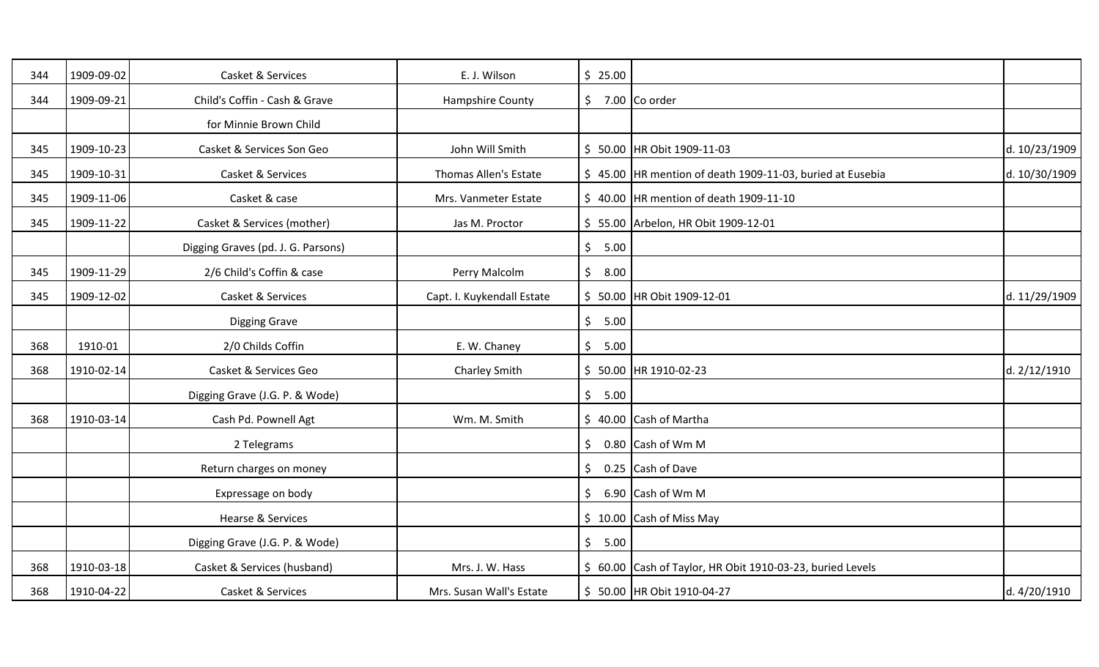| 344 | 1909-09-02 | Casket & Services                  | E. J. Wilson               | \$25.00 |                                                            |               |
|-----|------------|------------------------------------|----------------------------|---------|------------------------------------------------------------|---------------|
| 344 | 1909-09-21 | Child's Coffin - Cash & Grave      | <b>Hampshire County</b>    | \$      | 7.00 Co order                                              |               |
|     |            | for Minnie Brown Child             |                            |         |                                                            |               |
| 345 | 1909-10-23 | Casket & Services Son Geo          | John Will Smith            |         | \$ 50.00 HR Obit 1909-11-03                                | d. 10/23/1909 |
| 345 | 1909-10-31 | Casket & Services                  | Thomas Allen's Estate      |         | \$45.00 HR mention of death 1909-11-03, buried at Eusebia  | d. 10/30/1909 |
| 345 | 1909-11-06 | Casket & case                      | Mrs. Vanmeter Estate       |         | \$40.00 HR mention of death 1909-11-10                     |               |
| 345 | 1909-11-22 | Casket & Services (mother)         | Jas M. Proctor             |         | \$55.00 Arbelon, HR Obit 1909-12-01                        |               |
|     |            | Digging Graves (pd. J. G. Parsons) |                            | \$5.00  |                                                            |               |
| 345 | 1909-11-29 | 2/6 Child's Coffin & case          | Perry Malcolm              | \$8.00  |                                                            |               |
| 345 | 1909-12-02 | Casket & Services                  | Capt. I. Kuykendall Estate |         | \$50.00 HR Obit 1909-12-01                                 | d. 11/29/1909 |
|     |            | <b>Digging Grave</b>               |                            | \$5.00  |                                                            |               |
| 368 | 1910-01    | 2/0 Childs Coffin                  | E. W. Chaney               | \$5.00  |                                                            |               |
| 368 | 1910-02-14 | Casket & Services Geo              | Charley Smith              |         | \$50.00 HR 1910-02-23                                      | d. 2/12/1910  |
|     |            | Digging Grave (J.G. P. & Wode)     |                            | \$5.00  |                                                            |               |
| 368 | 1910-03-14 | Cash Pd. Pownell Agt               | Wm. M. Smith               |         | \$40.00 Cash of Martha                                     |               |
|     |            | 2 Telegrams                        |                            | \$      | 0.80 Cash of Wm M                                          |               |
|     |            | Return charges on money            |                            |         | $\frac{1}{2}$ 0.25 Cash of Dave                            |               |
|     |            | Expressage on body                 |                            | \$.     | 6.90 Cash of Wm M                                          |               |
|     |            | Hearse & Services                  |                            |         | $$10.00$ Cash of Miss May                                  |               |
|     |            | Digging Grave (J.G. P. & Wode)     |                            | \$5.00  |                                                            |               |
| 368 | 1910-03-18 | Casket & Services (husband)        | Mrs. J. W. Hass            |         | \$ 60.00 Cash of Taylor, HR Obit 1910-03-23, buried Levels |               |
| 368 | 1910-04-22 | Casket & Services                  | Mrs. Susan Wall's Estate   |         | \$ 50.00 HR Obit 1910-04-27                                | d. 4/20/1910  |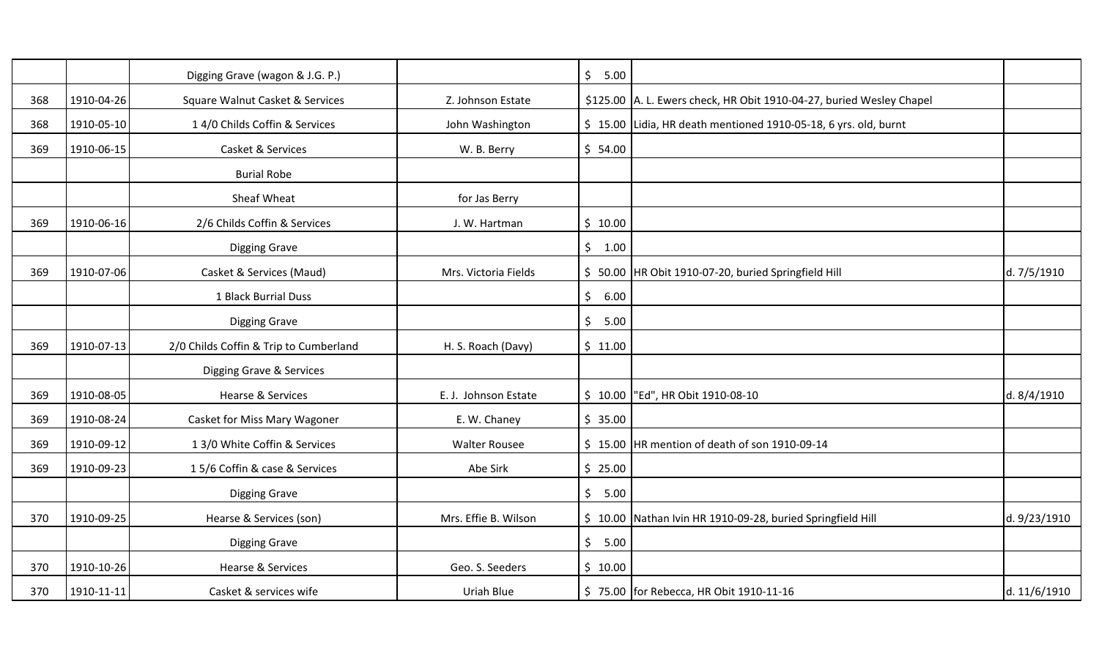|     |            | Digging Grave (wagon & J.G. P.)        |                      | $\zeta$<br>5.00 |                                                                             |              |
|-----|------------|----------------------------------------|----------------------|-----------------|-----------------------------------------------------------------------------|--------------|
| 368 | 1910-04-26 | Square Walnut Casket & Services        | Z. Johnson Estate    |                 | \$125.00 A. L. Ewers check, HR Obit 1910-04-27, buried Wesley Chapel        |              |
| 368 | 1910-05-10 | 1 4/0 Childs Coffin & Services         | John Washington      |                 | $\frac{1}{2}$ 15.00 Lidia, HR death mentioned 1910-05-18, 6 yrs. old, burnt |              |
| 369 | 1910-06-15 | Casket & Services                      | W. B. Berry          | \$54.00         |                                                                             |              |
|     |            | <b>Burial Robe</b>                     |                      |                 |                                                                             |              |
|     |            | Sheaf Wheat                            | for Jas Berry        |                 |                                                                             |              |
| 369 | 1910-06-16 | 2/6 Childs Coffin & Services           | J. W. Hartman        | \$10.00         |                                                                             |              |
|     |            | <b>Digging Grave</b>                   |                      | \$1.00          |                                                                             |              |
| 369 | 1910-07-06 | Casket & Services (Maud)               | Mrs. Victoria Fields |                 | \$ 50.00   HR Obit 1910-07-20, buried Springfield Hill                      | d. 7/5/1910  |
|     |            | 1 Black Burrial Duss                   |                      | \$<br>6.00      |                                                                             |              |
|     |            | <b>Digging Grave</b>                   |                      | \$<br>5.00      |                                                                             |              |
|     |            |                                        |                      |                 |                                                                             |              |
| 369 | 1910-07-13 | 2/0 Childs Coffin & Trip to Cumberland | H. S. Roach (Davy)   | \$11.00         |                                                                             |              |
|     |            | Digging Grave & Services               |                      |                 |                                                                             |              |
| 369 | 1910-08-05 | <b>Hearse &amp; Services</b>           | E. J. Johnson Estate |                 | \$10.00   "Ed", HR Obit 1910-08-10                                          | d. 8/4/1910  |
| 369 | 1910-08-24 | Casket for Miss Mary Wagoner           | E. W. Chaney         | \$35.00         |                                                                             |              |
| 369 | 1910-09-12 | 1 3/0 White Coffin & Services          | <b>Walter Rousee</b> |                 | \$15.00 HR mention of death of son 1910-09-14                               |              |
| 369 | 1910-09-23 | 15/6 Coffin & case & Services          | Abe Sirk             | \$25.00         |                                                                             |              |
|     |            | <b>Digging Grave</b>                   |                      | \$<br>5.00      |                                                                             |              |
| 370 | 1910-09-25 | Hearse & Services (son)                | Mrs. Effie B. Wilson |                 | \$ 10.00 Nathan Ivin HR 1910-09-28, buried Springfield Hill                 | d. 9/23/1910 |
|     |            | <b>Digging Grave</b>                   |                      | $\zeta$<br>5.00 |                                                                             |              |
| 370 | 1910-10-26 | Hearse & Services                      | Geo. S. Seeders      | \$10.00         |                                                                             |              |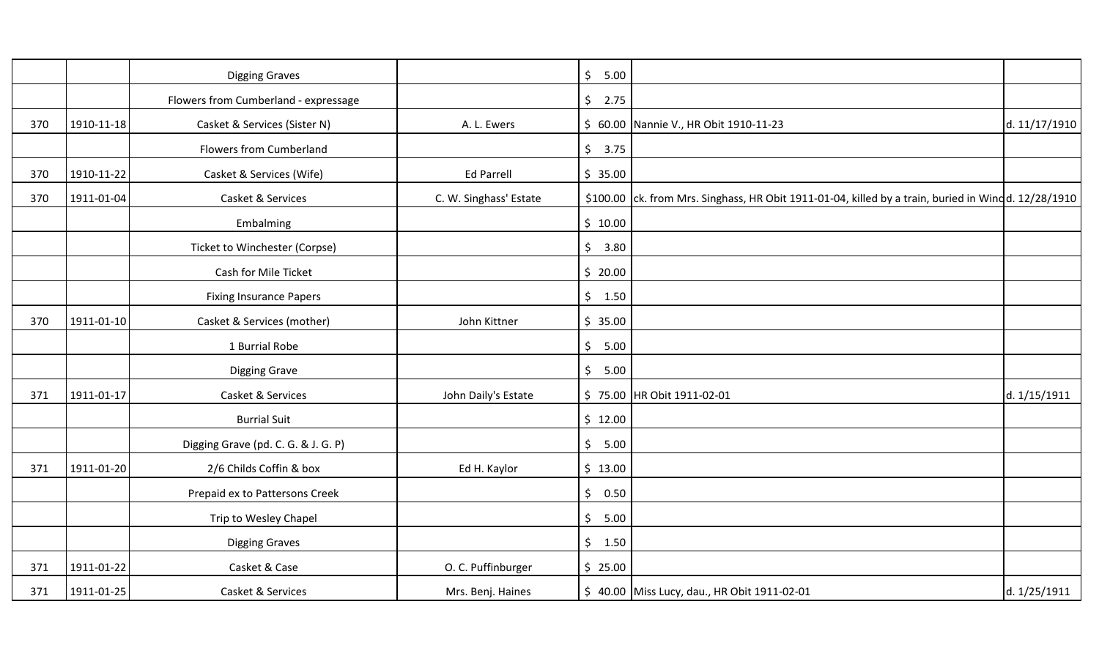|     |            | <b>Digging Graves</b>                |                        | $\zeta$<br>5.00             |                                                                                                     |               |
|-----|------------|--------------------------------------|------------------------|-----------------------------|-----------------------------------------------------------------------------------------------------|---------------|
|     |            | Flowers from Cumberland - expressage |                        | \$2.75                      |                                                                                                     |               |
| 370 | 1910-11-18 | Casket & Services (Sister N)         | A. L. Ewers            |                             | \$ 60.00 Nannie V., HR Obit 1910-11-23                                                              | d. 11/17/1910 |
|     |            | Flowers from Cumberland              |                        | \$3.75                      |                                                                                                     |               |
| 370 | 1910-11-22 | Casket & Services (Wife)             | <b>Ed Parrell</b>      | \$35.00                     |                                                                                                     |               |
| 370 | 1911-01-04 | Casket & Services                    | C. W. Singhass' Estate |                             | \$100.00 ck. from Mrs. Singhass, HR Obit 1911-01-04, killed by a train, buried in Windd. 12/28/1910 |               |
|     |            | Embalming                            |                        | \$10.00                     |                                                                                                     |               |
|     |            | Ticket to Winchester (Corpse)        |                        | \$3.80                      |                                                                                                     |               |
|     |            | Cash for Mile Ticket                 |                        | \$20.00                     |                                                                                                     |               |
|     |            | <b>Fixing Insurance Papers</b>       |                        | \$1.50                      |                                                                                                     |               |
| 370 | 1911-01-10 | Casket & Services (mother)           | John Kittner           | \$35.00                     |                                                                                                     |               |
|     |            | 1 Burrial Robe                       |                        | \$5.00                      |                                                                                                     |               |
|     |            | <b>Digging Grave</b>                 |                        | $\ddot{\mathsf{S}}$<br>5.00 |                                                                                                     |               |
| 371 | 1911-01-17 | Casket & Services                    | John Daily's Estate    | \$75.00                     | HR Obit 1911-02-01                                                                                  | d. 1/15/1911  |
|     |            | <b>Burrial Suit</b>                  |                        | \$12.00                     |                                                                                                     |               |
|     |            | Digging Grave (pd. C. G. & J. G. P)  |                        | \$5.00                      |                                                                                                     |               |
| 371 | 1911-01-20 | 2/6 Childs Coffin & box              | Ed H. Kaylor           | \$13.00                     |                                                                                                     |               |
|     |            | Prepaid ex to Pattersons Creek       |                        | $\zeta$<br>0.50             |                                                                                                     |               |
|     |            | Trip to Wesley Chapel                |                        | \$5.00                      |                                                                                                     |               |
|     |            | <b>Digging Graves</b>                |                        | \$1.50                      |                                                                                                     |               |
| 371 | 1911-01-22 | Casket & Case                        | O. C. Puffinburger     | \$25.00                     |                                                                                                     |               |
| 371 | 1911-01-25 | Casket & Services                    | Mrs. Benj. Haines      |                             | \$40.00 Miss Lucy, dau., HR Obit 1911-02-01                                                         | d. 1/25/1911  |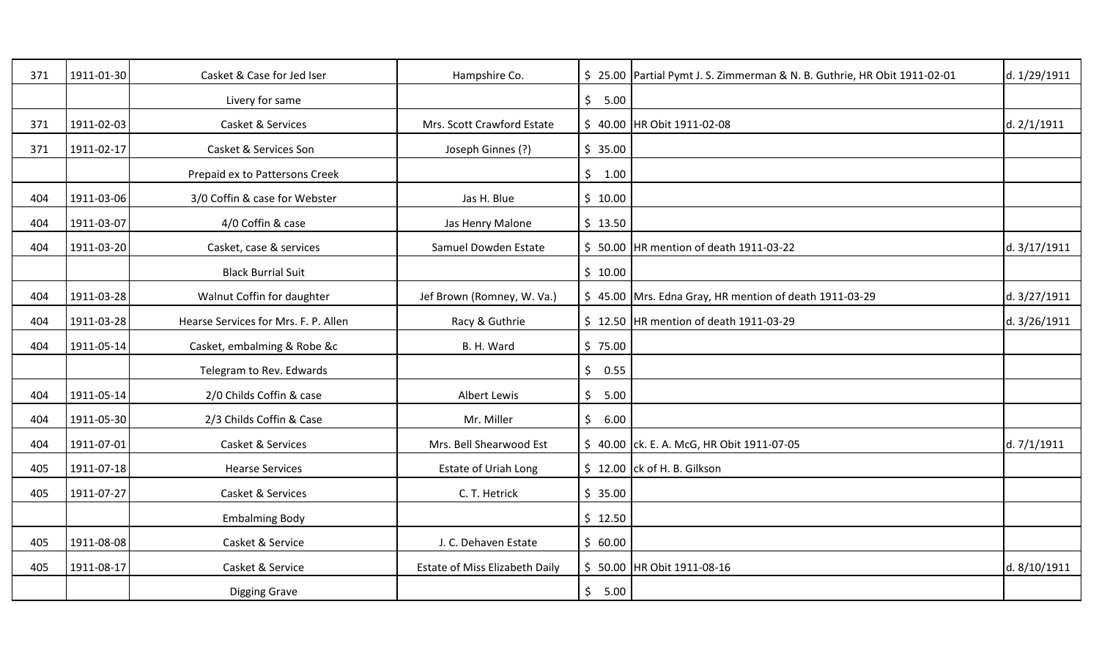| 371 | 1911-01-30 | Casket & Case for Jed Iser           | Hampshire Co.                  |                        | \$25.00 Partial Pymt J. S. Zimmerman & N. B. Guthrie, HR Obit 1911-02-01 | d. 1/29/1911  |
|-----|------------|--------------------------------------|--------------------------------|------------------------|--------------------------------------------------------------------------|---------------|
|     |            | Livery for same                      |                                | \$5.00                 |                                                                          |               |
| 371 | 1911-02-03 | Casket & Services                    | Mrs. Scott Crawford Estate     |                        | \$40.00 HR Obit 1911-02-08                                               | d. 2/1/1911   |
| 371 | 1911-02-17 | Casket & Services Son                | Joseph Ginnes (?)              | \$35.00                |                                                                          |               |
|     |            | Prepaid ex to Pattersons Creek       |                                | \$1.00                 |                                                                          |               |
| 404 | 1911-03-06 | 3/0 Coffin & case for Webster        | Jas H. Blue                    | \$10.00                |                                                                          |               |
| 404 | 1911-03-07 | 4/0 Coffin & case                    | Jas Henry Malone               | \$13.50                |                                                                          |               |
| 404 | 1911-03-20 | Casket, case & services              | Samuel Dowden Estate           |                        | \$ 50.00 HR mention of death 1911-03-22                                  | d. 3/17/1911  |
|     |            | <b>Black Burrial Suit</b>            |                                | \$10.00                |                                                                          |               |
| 404 | 1911-03-28 | Walnut Coffin for daughter           | Jef Brown (Romney, W. Va.)     |                        | \$45.00 Mrs. Edna Gray, HR mention of death 1911-03-29                   | d. 3/27/1911  |
| 404 | 1911-03-28 | Hearse Services for Mrs. F. P. Allen | Racy & Guthrie                 |                        | \$12.50 HR mention of death 1911-03-29                                   | d. 3/26/1911  |
| 404 | 1911-05-14 | Casket, embalming & Robe &c          | B. H. Ward                     | \$75.00                |                                                                          |               |
|     |            | Telegram to Rev. Edwards             |                                | \$0.55                 |                                                                          |               |
| 404 | 1911-05-14 | 2/0 Childs Coffin & case             | <b>Albert Lewis</b>            | 5.00<br>$\mathsf{S}^-$ |                                                                          |               |
| 404 | 1911-05-30 | 2/3 Childs Coffin & Case             | Mr. Miller                     | \$6.00                 |                                                                          |               |
| 404 | 1911-07-01 | Casket & Services                    | Mrs. Bell Shearwood Est        |                        | \$40.00 ck. E. A. McG, HR Obit 1911-07-05                                | d. $7/1/1911$ |
| 405 | 1911-07-18 | <b>Hearse Services</b>               | <b>Estate of Uriah Long</b>    |                        | $$12.00$ ck of H. B. Gilkson                                             |               |
| 405 | 1911-07-27 | Casket & Services                    | C. T. Hetrick                  | \$35.00                |                                                                          |               |
|     |            | <b>Embalming Body</b>                |                                | \$12.50                |                                                                          |               |
| 405 | 1911-08-08 | Casket & Service                     | J. C. Dehaven Estate           | \$60.00                |                                                                          |               |
| 405 | 1911-08-17 | Casket & Service                     | Estate of Miss Elizabeth Daily |                        | \$ 50.00 HR Obit 1911-08-16                                              | d. 8/10/1911  |
|     |            | Digging Grave                        |                                | \$5.00                 |                                                                          |               |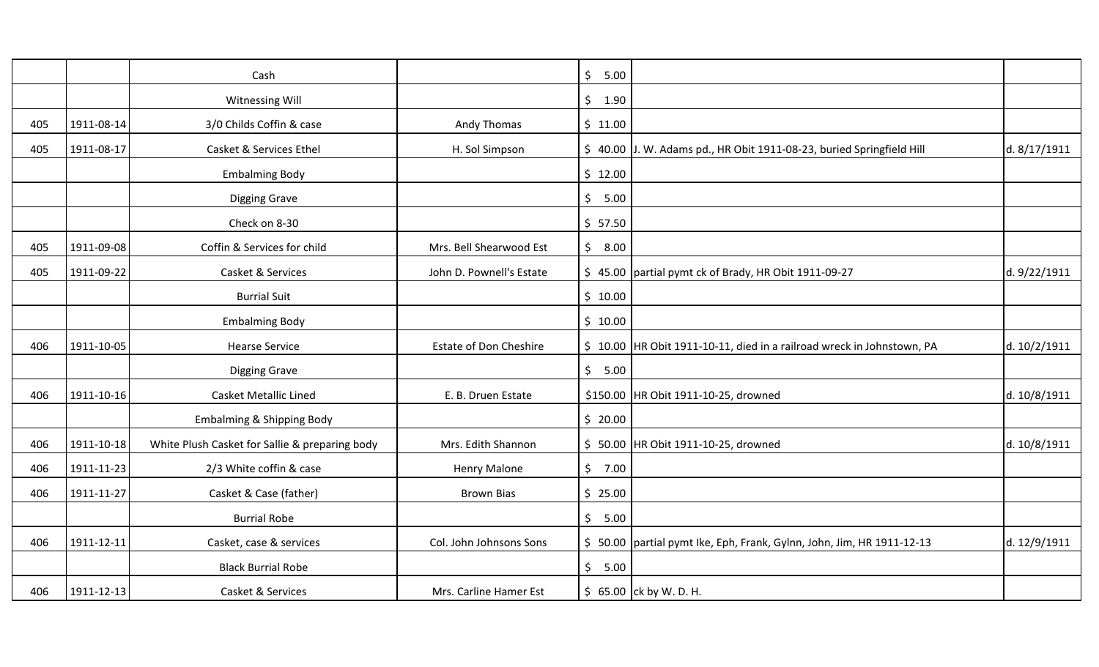|     |            | Cash                                           |                               | $\zeta$<br>5.00       |                                                                        |              |
|-----|------------|------------------------------------------------|-------------------------------|-----------------------|------------------------------------------------------------------------|--------------|
|     |            | Witnessing Will                                |                               | $\frac{1}{2}$<br>1.90 |                                                                        |              |
| 405 | 1911-08-14 | 3/0 Childs Coffin & case                       | Andy Thomas                   | \$11.00               |                                                                        |              |
| 405 | 1911-08-17 | Casket & Services Ethel                        | H. Sol Simpson                |                       | \$ 40.00 J. W. Adams pd., HR Obit 1911-08-23, buried Springfield Hill  | d. 8/17/1911 |
|     |            | <b>Embalming Body</b>                          |                               | \$12.00               |                                                                        |              |
|     |            | <b>Digging Grave</b>                           |                               | \$5.00                |                                                                        |              |
|     |            | Check on 8-30                                  |                               | \$57.50               |                                                                        |              |
| 405 | 1911-09-08 | Coffin & Services for child                    | Mrs. Bell Shearwood Est       | \$<br>8.00            |                                                                        |              |
| 405 | 1911-09-22 | Casket & Services                              | John D. Pownell's Estate      |                       | \$45.00 partial pymt ck of Brady, HR Obit 1911-09-27                   | d. 9/22/1911 |
|     |            | <b>Burrial Suit</b>                            |                               | \$10.00               |                                                                        |              |
|     |            | <b>Embalming Body</b>                          |                               | \$10.00               |                                                                        |              |
| 406 | 1911-10-05 | <b>Hearse Service</b>                          | <b>Estate of Don Cheshire</b> |                       | \$10.00 HR Obit 1911-10-11, died in a railroad wreck in Johnstown, PA  | d. 10/2/1911 |
|     |            | <b>Digging Grave</b>                           |                               | \$5.00                |                                                                        |              |
| 406 | 1911-10-16 | <b>Casket Metallic Lined</b>                   | E. B. Druen Estate            |                       | \$150.00 HR Obit 1911-10-25, drowned                                   | d. 10/8/1911 |
|     |            | <b>Embalming &amp; Shipping Body</b>           |                               | \$20.00               |                                                                        |              |
| 406 | 1911-10-18 | White Plush Casket for Sallie & preparing body | Mrs. Edith Shannon            |                       | \$ 50.00 HR Obit 1911-10-25, drowned                                   | d. 10/8/1911 |
| 406 | 1911-11-23 | 2/3 White coffin & case                        | Henry Malone                  | \$7.00                |                                                                        |              |
| 406 | 1911-11-27 | Casket & Case (father)                         | <b>Brown Bias</b>             | \$25.00               |                                                                        |              |
|     |            | <b>Burrial Robe</b>                            |                               | \$5.00                |                                                                        |              |
| 406 | 1911-12-11 | Casket, case & services                        | Col. John Johnsons Sons       |                       | \$ 50.00 partial pymt Ike, Eph, Frank, Gylnn, John, Jim, HR 1911-12-13 | d. 12/9/1911 |
|     |            | <b>Black Burrial Robe</b>                      |                               | \$5.00                |                                                                        |              |
| 406 | 1911-12-13 | Casket & Services                              | Mrs. Carline Hamer Est        |                       | $$65.00$ ck by W. D. H.                                                |              |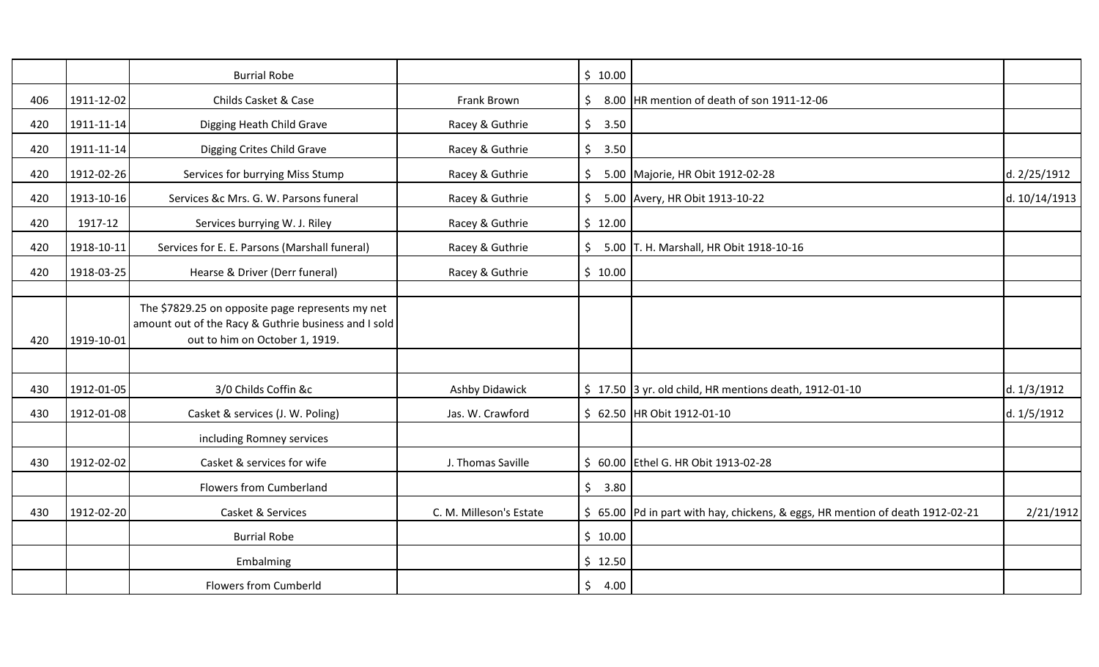|     |                  | <b>Burrial Robe</b>                                                                                                                        |                         | \$10.00         |                                                                                |               |
|-----|------------------|--------------------------------------------------------------------------------------------------------------------------------------------|-------------------------|-----------------|--------------------------------------------------------------------------------|---------------|
| 406 | 1911-12-02       | Childs Casket & Case                                                                                                                       | Frank Brown             | \$              | 8.00 HR mention of death of son 1911-12-06                                     |               |
| 420 | $1911 - 11 - 14$ | Digging Heath Child Grave                                                                                                                  | Racey & Guthrie         | $\zeta$<br>3.50 |                                                                                |               |
| 420 | 1911-11-14       | Digging Crites Child Grave                                                                                                                 | Racey & Guthrie         | $\zeta$<br>3.50 |                                                                                |               |
| 420 | 1912-02-26       | Services for burrying Miss Stump                                                                                                           | Racey & Guthrie         | \$              | 5.00 Majorie, HR Obit 1912-02-28                                               | d. 2/25/1912  |
| 420 | 1913-10-16       | Services &c Mrs. G. W. Parsons funeral                                                                                                     | Racey & Guthrie         | \$              | 5.00 Avery, HR Obit 1913-10-22                                                 | d. 10/14/1913 |
| 420 | 1917-12          | Services burrying W. J. Riley                                                                                                              | Racey & Guthrie         | \$12.00         |                                                                                |               |
| 420 | 1918-10-11       | Services for E. E. Parsons (Marshall funeral)                                                                                              | Racey & Guthrie         | \$              | 5.00 T. H. Marshall, HR Obit 1918-10-16                                        |               |
| 420 | 1918-03-25       | Hearse & Driver (Derr funeral)                                                                                                             | Racey & Guthrie         | \$10.00         |                                                                                |               |
|     |                  |                                                                                                                                            |                         |                 |                                                                                |               |
| 420 | 1919-10-01       | The \$7829.25 on opposite page represents my net<br>amount out of the Racy & Guthrie business and I sold<br>out to him on October 1, 1919. |                         |                 |                                                                                |               |
|     |                  |                                                                                                                                            |                         |                 |                                                                                |               |
| 430 | 1912-01-05       | 3/0 Childs Coffin &c                                                                                                                       | Ashby Didawick          |                 | $\frac{1}{2}$ 17.50 3 yr. old child, HR mentions death, 1912-01-10             | d. 1/3/1912   |
| 430 | 1912-01-08       | Casket & services (J. W. Poling)                                                                                                           | Jas. W. Crawford        |                 | \$ 62.50 HR Obit 1912-01-10                                                    | d. 1/5/1912   |
|     |                  | including Romney services                                                                                                                  |                         |                 |                                                                                |               |
| 430 | 1912-02-02       | Casket & services for wife                                                                                                                 | J. Thomas Saville       |                 | \$ 60.00 Ethel G. HR Obit 1913-02-28                                           |               |
|     |                  | <b>Flowers from Cumberland</b>                                                                                                             |                         | \$<br>3.80      |                                                                                |               |
| 430 | 1912-02-20       | Casket & Services                                                                                                                          | C. M. Milleson's Estate |                 | \$ 65.00 Pd in part with hay, chickens, & eggs, HR mention of death 1912-02-21 | 2/21/1912     |
|     |                  | <b>Burrial Robe</b>                                                                                                                        |                         | \$10.00         |                                                                                |               |
|     |                  | Embalming                                                                                                                                  |                         | \$12.50         |                                                                                |               |
|     |                  | <b>Flowers from Cumberld</b>                                                                                                               |                         | \$<br>4.00      |                                                                                |               |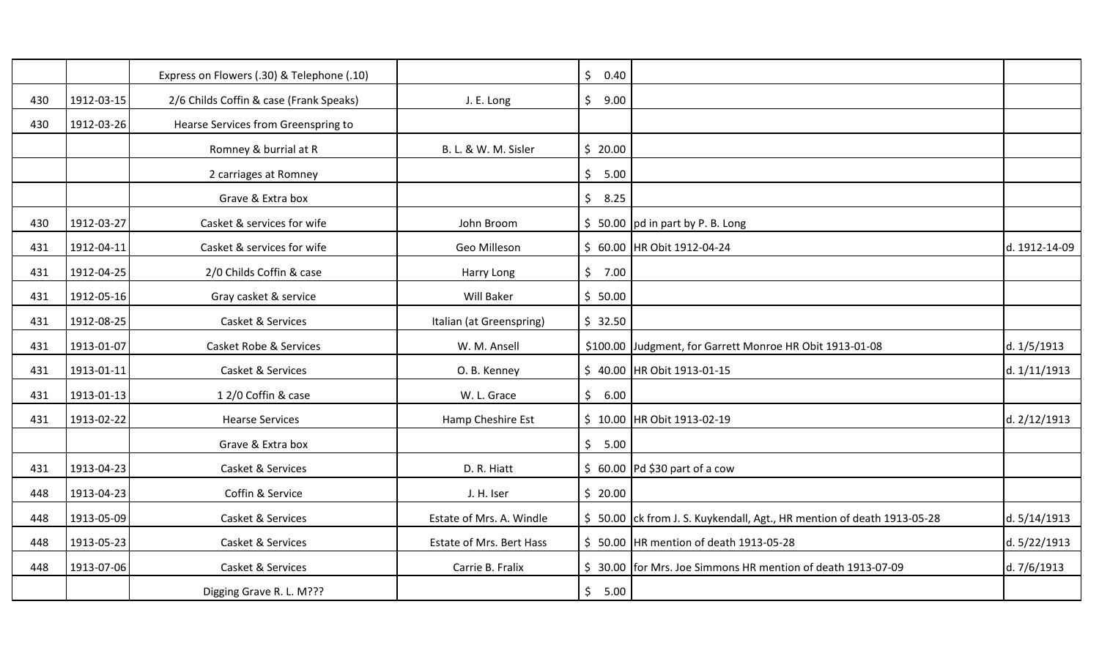|     |            | Express on Flowers (.30) & Telephone (.10) |                          | $\zeta$<br>0.40 |                                                                        |               |
|-----|------------|--------------------------------------------|--------------------------|-----------------|------------------------------------------------------------------------|---------------|
| 430 | 1912-03-15 | 2/6 Childs Coffin & case (Frank Speaks)    | J. E. Long               | $\zeta$<br>9.00 |                                                                        |               |
| 430 | 1912-03-26 | Hearse Services from Greenspring to        |                          |                 |                                                                        |               |
|     |            | Romney & burrial at R                      | B. L. & W. M. Sisler     | \$20.00         |                                                                        |               |
|     |            | 2 carriages at Romney                      |                          | \$<br>5.00      |                                                                        |               |
|     |            | Grave & Extra box                          |                          | \$<br>8.25      |                                                                        |               |
| 430 | 1912-03-27 | Casket & services for wife                 | John Broom               |                 | $$50.00$ pd in part by P. B. Long                                      |               |
| 431 | 1912-04-11 | Casket & services for wife                 | Geo Milleson             |                 | \$ 60.00 HR Obit 1912-04-24                                            | d. 1912-14-09 |
| 431 | 1912-04-25 | 2/0 Childs Coffin & case                   | Harry Long               | \$7.00          |                                                                        |               |
| 431 | 1912-05-16 | Gray casket & service                      | Will Baker               | \$50.00         |                                                                        |               |
| 431 | 1912-08-25 | Casket & Services                          | Italian (at Greenspring) | \$32.50         |                                                                        |               |
| 431 | 1913-01-07 | <b>Casket Robe &amp; Services</b>          | W. M. Ansell             |                 | \$100.00 Judgment, for Garrett Monroe HR Obit 1913-01-08               | d. 1/5/1913   |
| 431 | 1913-01-11 | Casket & Services                          | O. B. Kenney             |                 | \$40.00 HR Obit 1913-01-15                                             | d. 1/11/1913  |
| 431 | 1913-01-13 | 12/0 Coffin & case                         | W. L. Grace              | $\zeta$<br>6.00 |                                                                        |               |
| 431 | 1913-02-22 | <b>Hearse Services</b>                     | Hamp Cheshire Est        |                 | \$ 10.00 HR Obit 1913-02-19                                            | d. 2/12/1913  |
|     |            | Grave & Extra box                          |                          | \$5.00          |                                                                        |               |
| 431 | 1913-04-23 | Casket & Services                          | D. R. Hiatt              |                 | $$60.00$ Pd \$30 part of a cow                                         |               |
| 448 | 1913-04-23 | Coffin & Service                           | J. H. Iser               | \$20.00         |                                                                        |               |
| 448 | 1913-05-09 | Casket & Services                          | Estate of Mrs. A. Windle |                 | \$50.00 ck from J. S. Kuykendall, Agt., HR mention of death 1913-05-28 | d. 5/14/1913  |
| 448 | 1913-05-23 | Casket & Services                          | Estate of Mrs. Bert Hass |                 | \$50.00 HR mention of death 1913-05-28                                 | d. 5/22/1913  |
| 448 | 1913-07-06 | Casket & Services                          | Carrie B. Fralix         |                 | \$ 30.00 for Mrs. Joe Simmons HR mention of death 1913-07-09           | d. 7/6/1913   |
|     |            | Digging Grave R. L. M???                   |                          | \$<br>5.00      |                                                                        |               |